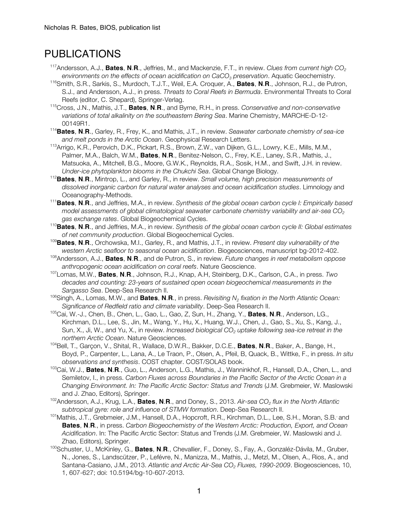# PUBLICATIONS

- <sup>117</sup>Andersson, A.J., **Bates, N.R.**, Jeffries, M., and Mackenzie, F.T., in review. *Clues from current high CO<sub>2</sub> environments on the effects of ocean acidification on CaCO3 preservation*. Aquatic Geochemistry.
- 116 Smith, S.R., Sarkis, S., Murdoch, T.J.T., Weil, E.A. Croquer, A., **Bates**, **N**.**R**., Johnson, R.J., de Putron, S.J., and Andersson, A.J., in press. *Threats to Coral Reefs in Bermuda*. Environmental Threats to Coral Reefs (editor, C. Shepard), Springer-Verlag.
- 115 Cross, J.N., Mathis, J.T., **Bates**, **N**.**R**., and Byrne, R.H., in press. *Conservative and non-conservative variations of total alkalinity on the southeastern Bering Sea*. Marine Chemistry, MARCHE-D-12- 00149R1.
- 114 **Bates**, **N**.**R**., Garley, R., Frey, K., and Mathis, J.T., in review. *Seawater carbonate chemistry of sea-ice and melt ponds in the Arctic Ocean*. Geophysical Research Letters.
- <sup>113</sup> Arrigo, K.R., Perovich, D.K., Pickart, R.S., Brown, Z.W., van Dijken, G.L., Lowry, K.E., Mills, M.M., Palmer, M.A., Balch, W.M., **Bates**, **N**.**R**., Benitez-Nelson, C., Frey, K.E., Laney, S.R., Mathis, J., Matsuoka, A., Mitchell, B.G., Moore, G.W.K., Reynolds, R.A., Sosik, H.M., and Swift, J.H. in review. *Under-ice phytoplankton blooms in the Chukchi Sea*. Global Change Biology.
- <sup>112</sup>**Bates**, **N**.**R**., Mintrop, L., and Garley, R., in review. *Small volume, high precision measurements of dissolved inorganic carbon for natural water analyses and ocean acidification studies*. Limnology and Oceanography-Methods.
- <sup>111</sup>**Bates**, **N**.**R**., and Jeffries, M.A., in review. *Synthesis of the global ocean carbon cycle I: Empirically based model assessments of global climatological seawater carbonate chemistry variability and air-sea CO<sub>2</sub>*
- *gas exchange rates*. Global Biogeochemical Cycles. 110**Bates**, **<sup>N</sup>**.**R**., and Jeffries, M.A., in review. *Synthesis of the global ocean carbon cycle II: Global estimates of net community production*. Global Biogeochemical Cycles. 109**Bates**, **<sup>N</sup>**.**R**., Orchowska, M.I., Garley, R., and Mathis, J.T., in review. *Present day vulnerability of the*
- *western Arctic seafloor to seasonal ocean acidification*. Biogeosciences, manuscript bg-2012-402.
- 108Andersson, A.J., **Bates**, **N**.**R**., and de Putron, S., in review. *Future changes in reef metabolism oppose anthropogenic ocean acidification on coral reefs*. Nature Geoscience.
- 107Lomas, M.W., **Bates**, **N**.**R**., Johnson, R.J., Knap, A.H, Steinberg, D.K., Carlson, C.A., in press. *Two decades and counting: 23-years of sustained open ocean biogeochemical measurements in the Sargasso Sea*. Deep-Sea Research II.
- 106Singh, A., Lomas, M.W., and **Bates**, **N**.**R**., in press. *Revisiting N2 fixation in the North Atlantic Ocean: Significance of Redfield ratio and climate variability*. Deep-Sea Research II.
- 105Cai, W.-J., Chen, B., Chen, L., Gao, L., Gao, Z, Sun, H., Zhang, Y., **Bates**, **N**.**R**., Anderson, LG., Kirchman, D.L., Lee, S., Jin, M., Wang, Y., Hu, X., Huang, W.J., Chen, J., Gao, S., Xu, S., Kang, J., Sun, X., Ji, W., and Yu, X., in review. *Increased biological CO<sub>2</sub> uptake following sea-ice retreat in the northern Arctic Ocean*. Nature Geosciences.
- 104Bell, T., Garçon, V., Shital, R., Wallace, D.W.R., Bakker, D.C.E., **Bates**, **N**.**R**., Baker, A., Bange, H., Boyd, P., Carpenter, L., Lana, A., Le Traon, P., Olsen, A., Pfeil, B, Quack, B., Wittke, F., in press. *In situ observations and synthesis*. COST chapter. COST/SOLAS book.
- 103 Cai, W.J., **Bates**, **N**.**R**., Guo, L., Anderson, L.G., Mathis, J., Wanninkhof, R., Hansell, D.A., Chen, L., and Semiletov, I., in press. *Carbon Fluxes across Boundaries in the Pacific Sector of the Arctic Ocean in a Changing Environment. In: The Pacific Arctic Sector: Status and Trends* (J.M. Grebmeier, W. Maslowski and J. Zhao, Editors), Springer.
- 102Andersson, A.J., Krug, L.A., **Bates**, **N**.**R**., and Doney, S., 2013. *Air-sea CO2 flux in the North Atlantic subtropical gyre: role and influence of STMW formation*. Deep-Sea Research II.
- <sup>101</sup> Mathis, J.T., Grebmeier, J.M., Hansell, D.A., Hopcroft, R.R., Kirchman, D.L., Lee, S.H., Moran, S.B. and **Bates**, **N**.**R**., in press. *Carbon Biogeochemistry of the Western Arctic: Production, Export, and Ocean Acidification*. In: The Pacific Arctic Sector: Status and Trends (J.M. Grebmeier, W. Maslowski and J. Zhao, Editors), Springer.
- 100 Schuster, U., McKinley, G., **Bates**, **N**.**R**., Chevallier, F., Doney, S., Fay, A., Gonzaléz-Dávila, M., Gruber, N., Jones, S., Landscützer, P., Lefévre, N., Manizza, M., Mathis, J., Metzl, M., Olsen, A., Rios, A., and Santana-Casiano, J.M., 2013. *Atlantic and Arctic Air-Sea CO<sub>2</sub> Fluxes, 1990-2009*. Biogeosciences, 10, 1, 607-627; doi: 10.5194/bg-10-607-2013.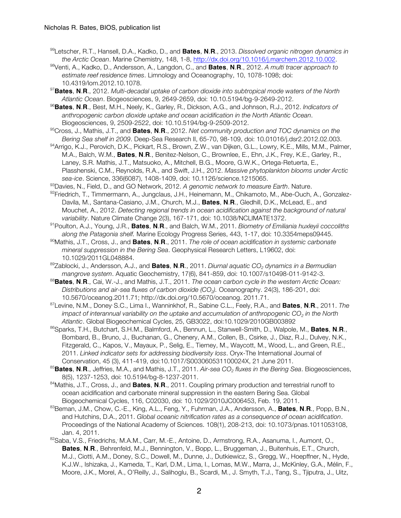- 99 Letscher, R.T., Hansell, D.A., Kadko, D., and **Bates**, **N**.**R**., 2013. *Dissolved organic nitrogen dynamics in the Arctic Ocean*. Marine Chemistry, 148, 1-8, http://dx.doi.org/10.1016/j.marchem.2012.10.002.
- 98Venti, A., Kadko, D., Andersson, A., Langdon, C., and **Bates**, **N**.**R**., 2012. *A multi tracer approach to estimate reef residence times*. Limnology and Oceanography, 10, 1078-1098; doi: 10.4319/lom.2012.10.1078.
- <sup>97</sup>**Bates**, **N**.**R**., 2012. *Multi-decadal uptake of carbon dioxide into subtropical mode waters of the North Atlantic Ocean*. Biogeosciences, 9, 2649-2659, doi: 10.10.5194/bg-9-2649-2012.
- <sup>96</sup>**Bates**, **N**.**R**., Best, M.H., Neely, K., Garley, R., Dickson, A.G., and Johnson, R.J., 2012. *Indicators of anthropogenic carbon dioxide uptake and ocean acidification in the North Atlantic Ocean*. Biogeosciences, 9, 2509-2522, doi: 10.10.5194/bg-9-2509-2012.
- 95Cross, J., Mathis, J.T., and **Bates**, **N**.**R**., 2012. *Net community production and TOC dynamics on the Bering Sea shelf in 2009*. Deep-Sea Research II, 65-70, 98-109, doi: 10.01016/j.dsr2.2012.02.003.
- 94Arrigo, K.J., Perovich, D.K., Pickart, R.S., Brown, Z.W., van Dijken, G.L., Lowry, K.E., Mills, M.M., Palmer, M.A., Balch, W.M., **Bates**, **N**.**R**., Benitez-Nelson, C., Brownlee, E., Ehn, J.K., Frey, K.E., Garley, R., Laney, S.R. Mathis, J.T., Matsuoko, A., Mitchell, B.G., Moore, G.W.K., Ortega-Retuerta, E., Plasshenski, C.M., Reynolds, R.A., and Swift, J.H., 2012. *Massive phytoplankton blooms under Arctic sea-ice*. Science, 336(6087), 1408-1409, doi: 10.1126/science.1215065.
- 93 Davies, N., Field, D., and GO Network, 2012. *A genomic network to measure Earth*. Nature.
- 92Friedrich, T., Timmermann, A., Jungclaus, J.H., Heinemann, M., Chikamoto, M., Abe-Ouch, A., Gonzalez-Davila, M., Santana-Casiano, J.M., Church, M.J., **Bates**, **N**.**R**., Gledhill, D.K., McLead, E., and Mouchet, A., 2012. *Detecting regional trends in ocean acidification against the background of natural variability*. Nature Climate Change 2(3), 167-171, doi: 10.1038/NCLIMATE1372.
- 91Poulton, A.J., Young, J.R., **Bates**, **N**.**R**., and Balch, W.M., 2011. *Biometry of Emiliania huxleyii coccoliths along the Patagonia shelf.* Marine Ecology Progress Series, 443, 1-17, doi: 10.3354meps09445.
- 90Mathis, J.T., Cross, J., and **Bates**, **N**.**R**., 2011. *The role of ocean acidification in systemic carbonate mineral suppression in the Bering Sea*. Geophysical Research Letters, L19602, doi: 10.1029/2011GL048884.
- 89Zablocki, J., Andersson, A.J., and **Bates**, **N**.**R**., 2011. *Diurnal aquatic CO2 dynamics in a Bermudian mangrove system*. Aquatic Geochemistry, 17(6), 841-859, doi: 10.1007/s10498-011-9142-3.
- <sup>88</sup>**Bates**, **N**.**R**., Cai, W.-J., and Mathis, J.T., 2011. *The ocean carbon cycle in the western Arctic Ocean: Distributions and air-sea fluxes of carbon dioxide (CO2).* Oceanography. 24(3), 186-201, doi: 10.5670/oceanog.2011.71; http://dx.doi.org/10.5670/oceanog. 2011.71.
- 87Levine, N.M., Doney, S.C., Lima I., Wanninkhof, R., Sabine, C.L., Feely, R.A., and **Bates**, **N**.**R**., 2011. *The impact of interannual variability on the uptake and accumulation of anthropogenic CO<sub>2</sub> in the North Atlantic*. Global Biogeochemical Cycles, 25, GB3022, doi:10.1029/2010GB003892
- 86Sparks, T.H., Butchart, S.H.M., Balmford, A., Bennun, L., Stanwell-Smith, D., Walpole, M., **Bates**, **N**.**R**., Bombard, B., Bruno, J., Buchanan, G., Chenery, A.M., Collen, B., Csirke, J., Diaz, R.J., Dulvey, N.K., Fitzgerald, C., Kapos, V., Mayaux, P., Selig, E., Tierney, M., Waycott, M., Wood, L., and Green, R.E., 2011. *Linked indicator sets for addressing biodiversity loss*. Oryx-The International Journal of Conservation, 45 (3), 411-419, doi:10.1017/S003060531100024X, 21 June 2011.
- <sup>85</sup>Bates, N.R., Jeffries, M.A., and Mathis, J.T., 2011. *Air-sea CO<sub>2</sub> fluxes in the Bering Sea*. Biogeosciences, 8(5), 1237-1253, doi: 10.5194/bg-8-1237-2011.
- 84Mathis, J.T., Cross, J., and **Bates**, **N**.**R**., 2011. Coupling primary production and terrestrial runoff to ocean acidification and carbonate mineral suppression in the eastern Bering Sea. Global Biogeochemical Cycles, 116, C02030, doi: 10.1029/2010JC006453, Feb. 19, 2011.
- 83 Beman, J.M., Chow, C.-E., King, A.L., Feng, Y., Fuhrman, J.A., Andersson, A., **Bates**, **N**.**R**., Popp, B.N., and Hutchins, D.A., 2011. *Global oceanic nitrification rates as a consequence of ocean acidification*. Proceedings of the National Academy of Sciences. 108(1), 208-213, doi: 10.1073/pnas.1011053108, Jan. 4, 2011.
- 82Saba, V.S., Friedrichs, M.A.M., Carr, M.-E., Antoine, D., Armstrong, R.A., Asanuma, I., Aumont, O., **Bates**, **N**.**R**., Behrenfeld, M.J., Bennington, V., Bopp, L., Bruggeman, J., Buitenhuis, E.T., Church, M.J., Ciotti, A.M., Doney, S.C., Dowell, M., Dunne, J., Dutkiewicz, S., Gregg, W., Hoepffner, N., Hyde, K.J.W., Ishizaka, J., Kameda, T., Karl, D.M., Lima, I., Lomas, M.W., Marra, J., McKinley, G.A., Mélin, F., Moore, J.K., Morel, A., O'Reilly, J., Salihoglu, B., Scardi, M., J. Smyth, T.J., Tang, S., Tjiputra, J., Uitz,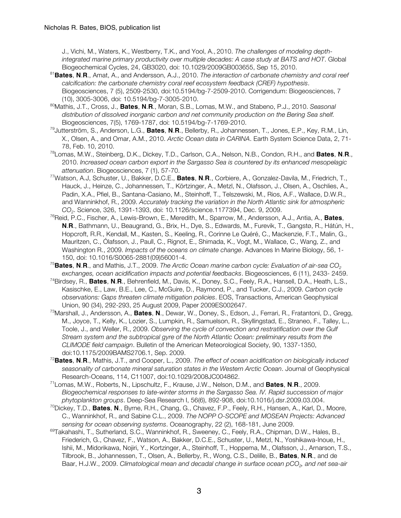J., Vichi, M., Waters, K., Westberry, T.K., and Yool, A., 2010. *The challenges of modeling depthintegrated marine primary productivity over multiple decades: A case study at BATS and HOT*. Global Biogeochemical Cycles, 24, GB3020, doi: 10.1029/2009GB003655, Sep 15, 2010.

- <sup>81</sup>**Bates**, **N**.**R**., Amat, A., and Andersson, A.J., 2010. *The interaction of carbonate chemistry and coral reef calcification: the carbonate chemistry coral reef ecosystem feedback (CREF) hypothesis*. Biogeosciences, 7 (5), 2509-2530, doi:10.5194/bg-7-2509-2010. Corrigendum: Biogeosciences, 7 (10), 3005-3006, doi: 10.5194/bg-7-3005-2010.
- 80Mathis, J.T., Cross, J., **Bates**, **N**.**R**., Moran, S.B., Lomas, M.W., and Stabeno, P.J., 2010. *Seasonal distribution of dissolved inorganic carbon and net community production on the Bering Sea shelf.* Biogeosciences, 7(5), 1769-1787, doi: 10.5194/bg-7-1769-2010.
- 79Jutterström, S., Anderson, L.G., **Bates**, **N**.**R**., Bellerby, R., Johannessen, T., Jones, E.P., Key, R.M., Lin, X., Olsen, A., and Omar, A.M., 2010. *Arctic Ocean data in CARINA*. Earth System Science Data, 2, 71- 78, Feb. 10, 2010.
- 78Lomas, M.W., Steinberg, D.K., Dickey, T.D., Carlson, C.A., Nelson, N.B., Condon, R.H., and **Bates**, **N**.**R**., 2010. *Increased ocean carbon export in the Sargasso Sea is countered by its enhanced mesopelagic attenuation*. Biogeosciences, 7 (1), 57-70.
- 77Watson, A.J, Schuster, U., Bakker, D.C.E., **Bates**, **N**.**R**., Corbiere, A., Gonzalez-Davila, M., Friedrich, T., Hauck, J., Heinze, C., Johannessen, T., Körtzinger, A., Metzl, N., Olafsson, J., Olsen, A., Oschlies, A., Padin, X.A., Pfiel, B., Santana-Casiano, M., Steinhoff, T., Telszewski, M., Rios, A.F., Wallace, D.W.R., and Wanninkhof, R., 2009. *Accurately tracking the variation in the North Atlantic sink for atmospheric CO2*. Science, 326, 1391-1393, doi: 10.1126/science.1177394, Dec. 9, 2009.
- 76 Reid, P.C., Fischer, A., Lewis-Brown, E., Meredith, M., Sparrow, M., Andersson, A.J., Antia, A., **Bates**, **N**.**R**., Bathmann, U., Beaugrand, G., Brix, H., Dye, S., Edwards, M., Furevik, T., Gangstø, R., Hátún, H., Hopcroft, R.R., Kendall, M., Kasten, S., Keeling, R., Corinne Le Quéré, C., Mackenzie, F.T., Malin, G., Mauritzen, C., Ólafsson, J., Paull, C., Rignot, E., Shimada, K., Vogt, M., Wallace, C., Wang, Z., and Washington R., 2009. *Impacts of the oceans on climate change*. Advances In Marine Biology, 56, 1- 150, doi: 10.1016/S0065-2881(09)56001-4.
- <sup>75</sup> Bates, N.R., and Mathis, J.T., 2009. *The Arctic Ocean marine carbon cycle: Evaluation of air-sea CO<sub>2</sub> exchanges, ocean acidification impacts and potential feedbacks*. Biogeosciences, 6 (11), 2433- 2459.
- 74 Birdsey, R., **Bates**, **N**.**R**., Behrenfield, M., Davis, K., Doney, S.C., Feely, R.A., Hansell, D.A., Heath, L.S., Kasischke, E., Law, B.E., Lee, C., McGuire, D., Raymond, P., and Tucker, C.J., 2009. *Carbon cycle observations: Gaps threaten climate mitigation policies*. EOS, Transactions, American Geophysical Union, 90 (34), 292-293, 25 August 2009, Paper 2009ES002647.
- 73 Marshall, J., Andersson, A., **Bates**, **N**., Dewar, W., Doney, S., Edson, J., Ferrari, R., Fratantoni, D., Gregg, M., Joyce, T., Kelly, K., Lozier, S., Lumpkin, R., Samuelson, R., Skyllingstad, E., Straneo, F., Talley, L., Toole, J., and Weller, R., 2009. *Observing the cycle of convection and restratification over the Gulf Stream system and the subtropical gyre of the North Atlantic Ocean: preliminary results from the CLIMODE field campaign*. Bulletin of the American Meteorological Society, 90, 1337-1350, doi:10.1175/2009BAMS2706.1, Sep. 2009.
- 72 **Bates**, **N**.**R**., Mathis, J.T., and Cooper, L., 2009. *The effect of ocean acidification on biologically induced seasonality of carbonate mineral saturation states in the Western Arctic Ocean*. Journal of Geophysical Research-Oceans, 114, C11007, doi:10.1029/2008JC004862.
- 71 Lomas, M.W., Roberts, N., Lipschultz, F., Krause, J.W., Nelson, D.M., and **Bates**, **N**.**R**., 2009. *Biogeochemical responses to late-winter storms in the Sargasso Sea. IV. Rapid succession of major phytoplankton groups*. Deep-Sea Research I, 56(6), 892-908, doi:10.1016/j.dsr.2009.03.004.
- 70 Dickey, T.D., **Bates**, **N**., Byrne, R.H., Chang, G., Chavez, F.P., Feely, R.H., Hansen, A., Karl, D., Moore, C., Wanninkhof, R., and Sabine C.L., 2009. *The NOPP O-SCOPE and MOSEAN Projects: Advanced sensing for ocean observing systems*. Oceanography, 22 (2), 168-181, June 2009.
- <sup>69</sup>Takahashi, T., Sutherland, S.C., Wanninkhof, R., Sweeney, C., Feely, R.A., Chipman, D.W., Hales, B., Friederich, G., Chavez, F., Watson, A., Bakker, D.C.E., Schuster, U., Metzl, N., Yoshikawa-Inoue, H., Ishii, M., Midorikawa, Nojiri, Y., Kortzinger, A., Steinhoff, T., Hoppema, M., Olafsson, J., Arnarson, T.S., Tilbrook, B., Johannessen, T., Olsen, A., Bellerby, R., Wong, C.S., Delille, B., **Bates**, **N**.**R**., and de Baar, H.J.W., 2009. Climatological mean and decadal change in surface ocean pCO<sub>2</sub>, and net sea-air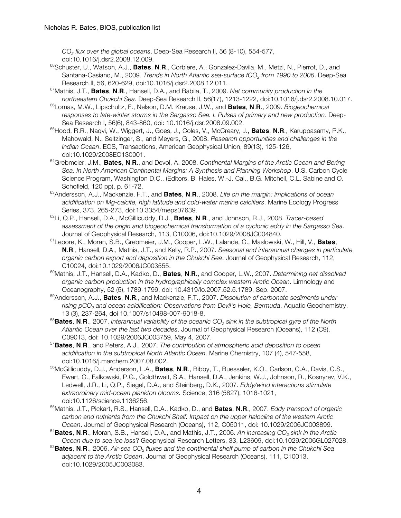*CO2 flux over the global oceans*. Deep-Sea Research II, 56 (8-10), 554-577, doi:10.1016/j.dsr2.2008.12.009.

- 68Schuster, U., Watson, A.J., **Bates**, **N**.**R**., Corbiere, A., Gonzalez-Davila, M., Metzl, N., Pierrot, D., and Santana-Casiano, M., 2009. *Trends in North Atlantic sea-surface fCO<sub>2</sub> from 1990 to 2006*. Deep-Sea Research II, 56, 620-629, doi:10.1016/j.dsr2.2008.12.011.
- 67 Mathis, J.T., **Bates**, **N**.**R**., Hansell, D.A., and Babila, T., 2009. *Net community production in the northeastern Chukchi Sea*. Deep-Sea Research II, 56(17), 1213-1222, doi:10.1016/j.dsr2.2008.10.017.
- 66 Lomas, M.W., Lipschultz, F., Nelson, D.M. Krause, J.W., and **Bates**, **N**.**R**., 2009. *Biogeochemical responses to late-winter storms in the Sargasso Sea. I. Pulses of primary and new production*. Deep-Sea Research I, 56(6), 843-860, doi: 10.1016/j.dsr.2008.09.002.
- 65 Hood, R.R., Naqvi, W., Wiggert, J., Goes, J., Coles, V., McCreary, J., **Bates**, **N**.**R**., Karuppasamy, P.K., Mahowald, N., Seitzinger, S., and Meyers, G., 2008. *Research opportunities and challenges in the Indian Ocean*. EOS, Transactions, American Geophysical Union, 89(13), 125-126, doi:10.1029/2008EO130001.
- 64 Grebmeier, J.M., **Bates**, **N**.**R**., and Devol, A. 2008. *Continental Margins of the Arctic Ocean and Bering Sea. In North American Continental Margins: A Synthesis and Planning Workshop*. U.S. Carbon Cycle Science Program, Washington D.C., (Editors, B. Hales, W.-J. Cai., B.G. Mitchell, C.L. Sabine and O. Schofield, 120 pp), p. 61-72.
- 63 Andersson, A.J., Mackenzie, F.T., and **Bates**, **N**.**R**., 2008. *Life on the margin: implications of ocean acidification on Mg-calcite, high latitude and cold-water marine calcifiers*. Marine Ecology Progress Series, 373, 265-273, doi:10.3354/meps07639.
- 62 Li, Q.P., Hansell, D.A., McGillicuddy, D.J., **Bates**, **N**.**R**., and Johnson, R.J., 2008. *Tracer-based assessment of the origin and biogeochemical transformation of a cyclonic eddy in the Sargasso Sea*. Journal of Geophysical Research, 113, C10006, doi:10.1029/2008JC004840.
- 61 Lepore, K., Moran, S.B., Grebmeier, J.M., Cooper, L.W., Lalande, C., Maslowski, W., Hill, V., **Bates**, **N**.**R**., Hansell, D.A., Mathis, J.T., and Kelly, R.P., 2007. *Seasonal and interannual changes in particulate organic carbon export and deposition in the Chukchi Sea*. Journal of Geophysical Research, 112, C10024, doi:10.1029/2006JC003555.
- 60 Mathis, J.T., Hansell, D.A., Kadko, D., **Bates**, **N**.**R**., and Cooper, L.W., 2007. *Determining net dissolved organic carbon production in the hydrographically complex western Arctic Ocean*. Limnology and Oceanography, 52 (5), 1789-1799, doi: 10.4319/lo.2007.52.5.1789, Sep. 2007.
- 59Andersson, A.J., **Bates**, **N**.**R**., and Mackenzie, F.T., 2007. *Dissolution of carbonate sediments under rising pCO2 and ocean acidification: Observations from Devil's Hole, Bermuda*. Aquatic Geochemistry, 13 (3), 237-264, doi 10.1007/s10498-007-9018-8.
- 58 **Bates**, **N**.**R**., 2007. *Interannual variability of the oceanic CO2 sink in the subtropical gyre of the North Atlantic Ocean over the last two decades*. Journal of Geophysical Research (Oceans), 112 (C9), C09013, doi: 10.1029/2006JC003759, May 4, 2007.
- 57 **Bates**, **N**.**R**., and Peters, A.J., 2007. *The contribution of atmospheric acid deposition to ocean acidification in the subtropical North Atlantic Ocean*. Marine Chemistry, 107 (4), 547-558, doi:10.1016/j.marchem.2007.08.002.
- 56 McGillicuddy, D.J., Anderson, L.A., **Bates**, **N**.**R**., Bibby, T., Buesseler, K.O., Carlson, C.A., Davis, C.S., Ewart, C., Falkowski, P.G., Goldthwait, S.A., Hansell, D.A., Jenkins, W.J., Johnson, R., Kosnyrev, V.K., Ledwell, J.R., Li, Q.P., Siegel, D.A., and Steinberg, D.K., 2007. *Eddy/wind interactions stimulate extraordinary mid-ocean plankton blooms.* Science, 316 (5827), 1016-1021, doi:10.1126/science.1136256.
- 55 Mathis, J.T., Pickart, R.S., Hansell, D.A., Kadko, D., and **Bates**, **N**.**R**., 2007. *Eddy transport of organic carbon and nutrients from the Chukchi Shelf: Impact on the upper halocline of the western Arctic Ocean*. Journal of Geophysical Research (Oceans), 112, C05011, doi: 10.1029/2006JC003899.
- <sup>54</sup> Bates, N.R., Moran, S.B., Hansell, D.A., and Mathis, J.T., 2006. *An increasing CO<sub>2</sub> sink in the Arctic Ocean due to sea-ice loss*? Geophysical Research Letters, 33, L23609, doi:10.1029/2006GL027028.
- 53 **Bates**, **N**.**R**., 2006. *Air-sea CO2 fluxes and the continental shelf pump of carbon in the Chukchi Sea adjacent to the Arctic Ocean*. Journal of Geophysical Research (Oceans), 111, C10013, doi:10.1029/2005JC003083.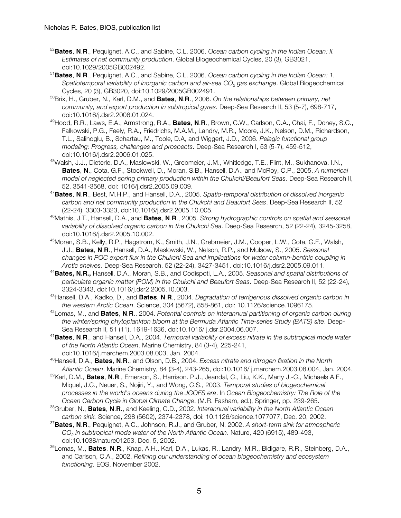- 52 **Bates**, **N**.**R**., Pequignet, A.C., and Sabine, C.L. 2006. *Ocean carbon cycling in the Indian Ocean: II. Estimates of net community production*. Global Biogeochemical Cycles, 20 (3), GB3021, doi:10.1029/2005GB002492.
- 51 **Bates**, **N**.**R**., Pequignet, A.C., and Sabine, C.L. 2006. *Ocean carbon cycling in the Indian Ocean: 1. Spatiotemporal variability of inorganic carbon and air-sea CO<sub>2</sub> gas exchange. Global Biogeochemical* Cycles, 20 (3), GB3020, doi:10.1029/2005GB002491.
- 50 Brix, H., Gruber, N., Karl, D.M., and **Bates**, **N**.**R**., 2006. *On the relationships between primary, net community, and export production in subtropical gyres*. Deep-Sea Research II, 53 (5-7), 698-717, doi:10.1016/j.dsr2.2006.01.024.
- 49Hood, R.R., Laws, E.A., Armstrong, R.A., **Bates**, **N**.**R**., Brown, C.W., Carlson, C.A., Chai, F., Doney, S.C., Falkowski, P.G., Feely, R.A., Friedrichs, M.A.M., Landry, M.R., Moore, J.K., Nelson, D.M., Richardson, T.L., Salihoglu, B., Schartau, M., Toole, D.A, and Wiggert, J.D., 2006. *Pelagic functional group modeling: Progress, challenges and prospects*. Deep-Sea Research I, 53 (5-7), 459-512, doi:10.1016/j.dsr2.2006.01.025.
- 48 Walsh, J.J., Dieterle, D.A., Maslowski, W., Grebmeier, J.M., Whitledge, T.E., Flint, M., Sukhanova. I.N., **Bates**, **N**., Cota, G.F., Stockwell, D., Moran, S.B., Hansell, D.A., and McRoy, C.P., 2005. *A numerical model of neglected spring primary production within the Chukchi/Beaufort Seas*. Deep-Sea Research II, 52, 3541-3568, doi: 1016/j.dsr2.2005.09.009.
- 47 **Bates**, **N**.**R**., Best, M.H.P., and Hansell, D.A., 2005. *Spatio-temporal distribution of dissolved inorganic carbon and net community production in the Chukchi and Beaufort Seas*. Deep-Sea Research II, 52 (22-24), 3303-3323, doi:10.1016/j.dsr2.2005.10.005.
- 46 Mathis, J.T., Hansell, D.A., and **Bates**, **N**.**R**., 2005. *Strong hydrographic controls on spatial and seasonal variability of dissolved organic carbon in the Chukchi Sea*. Deep-Sea Research, 52 (22-24), 3245-3258, doi:10.1016/j.dsr2.2005.10.002.
- 45 Moran, S.B., Kelly, R.P., Hagstrom, K., Smith, J.N., Grebmeier, J.M., Cooper, L.W., Cota, G.F., Walsh, J.J., **Bates**, **N**.**R**., Hansell, D.A., Maslowski, W., Nelson, R.P., and Mulsow, S., 2005. *Seasonal changes in POC export flux in the Chukchi Sea and implications for water column-benthic coupling in Arctic shelves*. Deep-Sea Research, 52 (22-24), 3427-3451, doi:10.1016/j.dsr2.2005.09.011.
- 44 **Bates, N.R.,** Hansell, D.A., Moran, S.B., and Codispoti, L.A., 2005. *Seasonal and spatial distributions of particulate organic matter (POM) in the Chukchi and Beaufort Seas*. Deep-Sea Research II, 52 (22-24), 3324-3343, doi:10.1016/j.dsr2.2005.10.003.
- 43 Hansell, D.A., Kadko, D., and **Bates**, **N**.**R**., 2004. *Degradation of terrigenous dissolved organic carbon in the western Arctic Ocean*. Science, 304 (5672), 858-861, doi: 10.1126/science.1096175.
- 42 Lomas, M., and **Bates**, **N**.**R**., 2004. *Potential controls on interannual partitioning of organic carbon during the winter/spring phytoplankton bloom at the Bermuda Atlantic Time-series Study (BATS) site*. Deep-Sea Research II, 51 (11), 1619-1636, doi:10.1016/ j.dsr.2004.06.007.
- 41 **Bates**, **N**.**R**., and Hansell, D.A., 2004. *Temporal variability of excess nitrate in the subtropical mode water of the North Atlantic Ocean*. Marine Chemistry, 84 (3-4), 225-241, doi:10.1016/j.marchem.2003.08.003, Jan. 2004.
- 40 Hansell, D.A., **Bates**, **N**.**R**., and Olson, D.B., 2004. *Excess nitrate and nitrogen fixation in the North Atlantic Ocean*. Marine Chemistry, 84 (3-4), 243-265, doi:10.1016/ j.marchem.2003.08.004, Jan. 2004.
- 39Karl, D.M., **Bates**, **N**.**R**., Emerson, S., Harrison. P.J., Jeandal, C., Liu, K.K., Marty J.-C., Michaels A.F., Miquel, J.C., Neuer, S., Nojiri, Y., and Wong, C.S., 2003. *Temporal studies of biogeochemical processes in the world's oceans during the JGOFS era*. In *Ocean Biogeochemistry: The Role of the Ocean Carbon Cycle in Global Climate Change*. (M.R. Fasham, ed.), Springer, pp. 239-265.
- 38 Gruber, N., **Bates**, **N**.**R**., and Keeling, C.D., 2002. *Interannual variability in the North Atlantic Ocean carbon sink.* Science, 298 (5602), 2374-2378, doi: 10.1126/science.1077077, Dec. 20, 2002.
- 37 **Bates**, **N**.**R**., Pequignet, A.C., Johnson, R.J., and Gruber, N. 2002. *A short-term sink for atmospheric CO2 in subtropical mode water of the North Atlantic Ocean*. Nature, 420 (6915), 489-493, doi:10.1038/nature01253, Dec. 5, 2002.
- 36 Lomas, M., **Bates**, **N**.**R**., Knap, A.H., Karl, D.A., Lukas, R., Landry, M.R., Bidigare, R.R., Steinberg, D.A., and Carlson, C.A., 2002. *Refining our understanding of ocean biogeochemistry and ecosystem functioning*. EOS, November 2002.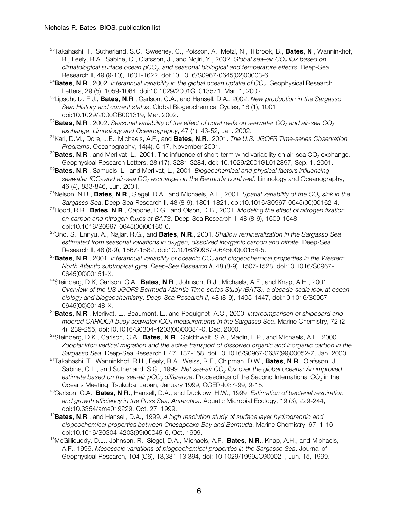- 35 Takahashi, T., Sutherland, S.C., Sweeney, C., Poisson, A., Metzl, N., Tilbrook, B., **Bates**, **N**., Wanninkhof, R., Feely, R.A., Sabine, C., Olafsson, J., and Nojiri, Y., 2002. *Global sea–air CO<sub>2</sub> flux based on climatological surface ocean pCO2, and seasonal biological and temperature effects*. Deep-Sea Research II, 49 (9-10), 1601-1622, doi:10.1016/S0967-0645(02)00003-6.
- <sup>34</sup> Bates, N.R., 2002. Interannual variability in the global ocean uptake of CO<sub>2</sub>. Geophysical Research Letters, 29 (5), 1059-1064, doi:10.1029/2001GL013571, Mar. 1, 2002.
- 33 Lipschultz, F.J., **Bates**, **N**.**R**., Carlson, C.A., and Hansell, D.A., 2002. *New production in the Sargasso Sea: History and current status*. Global Biogeochemical Cycles, 16 (1), 1001, doi:10.1029/2000GB001319, Mar. 2002.
- <sup>32</sup>Bates, N.R., 2002. *Seasonal variability of the effect of coral reefs on seawater CO<sub>2</sub> and air-sea CO<sub>2</sub> exchange. Limnology and Oceanography*, 47 (1), 43-52, Jan. 2002.
- 31 Karl, D.M., Dore, J.E., Michaels, A.F., and **Bates**, **N**.**R**., 2001. *The U.S. JGOFS Time-series Observation Programs*. Oceanography, 14(4), 6-17, November 2001.
- <sup>30</sup>Bates, N.R., and Merlivat, L., 2001. The influence of short-term wind variability on air-sea CO<sub>2</sub> exchange. Geophysical Research Letters, 28 (17), 3281-3284, doi: 10.1029/2001GL012897, Sep. 1, 2001.
- <sup>29</sup>**Bates**, **N**.**R**., Samuels, L., and Merlivat, L., 2001. *Biogeochemical and physical factors influencing seawater fCO2 and air-sea CO2 exchange on the Bermuda coral reef*. Limnology and Oceanography, 46 (4), 833-846, Jun. 2001.
- <sup>28</sup>Nelson, N.B., **Bates, N.R.**, Siegel, D.A., and Michaels, A.F., 2001. *Spatial variability of the CO<sub>2</sub> sink in the Sargasso Sea*. Deep-Sea Research II, 48 (8-9), 1801-1821, doi:10.1016/S0967-0645(00)00162-4.
- 27Hood, R.R., **Bates**, **N**.**R**., Capone, D.G., and Olson, D.B., 2001. *Modeling the effect of nitrogen fixation on carbon and nitrogen fluxes at BATS*. Deep-Sea Research II, 48 (8-9), 1609-1648, doi:10.1016/S0967-0645(00)00160-0.
- 26Ono, S., Ennyu, A., Najjar, R.G., and **Bates**, **N**.**R**., 2001. *Shallow remineralization in the Sargasso Sea estimated from seasonal variations in oxygen, dissolved inorganic carbon and nitrate*. Deep-Sea Research II, 48 (8-9), 1567-1582, doi:10.1016/S0967-0645(00)00154-5.
- <sup>25</sup> Bates, N.R., 2001. *Interannual variability of oceanic CO<sub>2</sub> and biogeochemical properties in the Western North Atlantic subtropical gyre. Deep-Sea Research II*, 48 (8-9), 1507-1528, doi:10.1016/S0967- 0645(00)00151-X.
- 24Steinberg, D.K, Carlson, C.A., **Bates**, **N**.**R**., Johnson, R.J., Michaels, A.F., and Knap, A.H., 2001. *Overview of the US JGOFS Bermuda Atlantic Time-series Study (BATS): a decade-scale look at ocean biology and biogeochemistry*. *Deep-Sea Research II*, 48 (8-9), 1405-1447, doi:10.1016/S0967- 0645(00)00148-X.
- <sup>23</sup>**Bates**, **N**.**R**., Merlivat, L., Beaumont, L., and Pequignet, A.C., 2000. *Intercomparison of shipboard and moored CARIOCA buoy seawater fCO2 measurements in the Sargasso Sea*. Marine Chemistry, 72 (2- 4), 239-255, doi:10.1016/S0304-4203(00)00084-0, Dec. 2000.
- 22Steinberg, D.K., Carlson, C.A., **Bates**, **N**.**R**., Goldthwait, S.A., Madin, L.P., and Michaels, A.F., 2000. *Zooplankton vertical migration and the active transport of dissolved organic and inorganic carbon in the Sargasso Sea*. Deep-Sea Research I, 47, 137-158, doi:10.1016/S0967-0637(99)00052-7, Jan. 2000.
- 21Takahashi, T., Wanninkhof, R.H., Feely, R.A., Weiss, R.F., Chipman, D.W., **Bates**, **N**.**R**., Olafsson, J., Sabine, C.L., and Sutherland, S.G., 1999. *Net sea-air CO<sub>2</sub> flux over the global oceans: An improved estimate based on the sea-air pCO<sub>2</sub> difference. Proceedings of the Second International CO<sub>2</sub> in the* Oceans Meeting, Tsukuba, Japan, January 1999, CGER-I037-99, 9-15.
- 20Carlson, C.A., **Bates**, **N**.**R**., Hansell, D.A., and Ducklow, H.W., 1999. *Estimation of bacterial respiration and growth efficiency in the Ross Sea, Antarctica*. Aquatic Microbial Ecology, 19 (3), 229-244, doi:10.3354/ame019229, Oct. 27, 1999.
- <sup>19</sup>**Bates**, **N**.**R**., and Hansell, D.A., 1999. *A high resolution study of surface layer hydrographic and biogeochemical properties between Chesapeake Bay and Bermuda*. Marine Chemistry, 67, 1-16, doi:10.1016/S0304-4203(99)00045-6, Oct. 1999.
- 18McGillicuddy, D.J., Johnson, R., Siegel, D.A., Michaels, A.F., **Bates**, **N**.**R**., Knap, A.H., and Michaels, A.F., 1999. *Mesoscale variations of biogeochemical properties in the Sargasso Sea*. Journal of Geophysical Research, 104 (C6), 13,381-13,394, doi: 10.1029/1999JC900021, Jun. 15, 1999.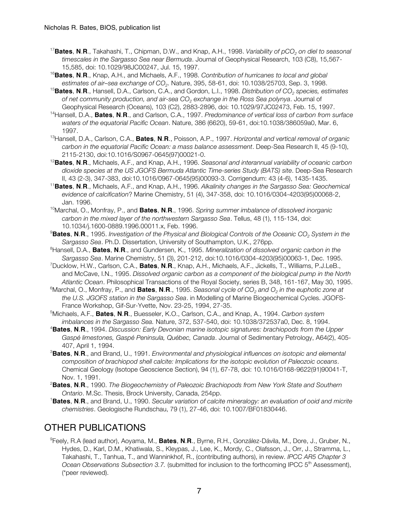- <sup>17</sup>Bates, N.R., Takahashi, T., Chipman, D.W., and Knap, A.H., 1998. *Variability of pCO<sub>2</sub> on diel to seasonal timescales in the Sargasso Sea near Bermuda*. Journal of Geophysical Research, 103 (C8), 15,567- 15,585, doi: 10.1029/98JC00247, Jul. 15, 1997.
- <sup>16</sup>**Bates**, **N**.**R**., Knap, A.H., and Michaels, A.F., 1998. *Contribution of hurricanes to local and global*
- estimates of air-sea exchange of CO<sub>2</sub>. Nature, 395, 58-61, doi: 10.1038/25703, Sep. 3, 1998.<br><sup>15</sup>Bates, N.R., Hansell, D.A., Carlson, C.A., and Gordon, L.I., 1998. Distribution of CO<sub>2</sub> species, estimates *of net community production, and air-sea CO2 exchange in the Ross Sea polynya*. Journal of Geophysical Research (Oceans), 103 (C2), 2883-2896, doi: 10.1029/97JC02473, Feb. 15, 1997.
- 14Hansell, D.A., **Bates**, **N**.**R**., and Carlson, C.A., 1997. *Predominance of vertical loss of carbon from surface waters of the equatorial Pacific Ocean*. Nature, 386 (6620), 59-61, doi:10.1038/386059a0, Mar. 6, 1997.
- 13Hansell, D.A., Carlson, C.A., **Bates**, **N**.**R**., Poisson, A.P., 1997. *Horizontal and vertical removal of organic carbon in the equatorial Pacific Ocean: a mass balance assessment*. Deep-Sea Research II, 45 (9-10), 2115-2130, doi:10.1016/S0967-0645(97)00021-0.
- <sup>12</sup>**Bates**, **N**.**R**., Michaels, A.F., and Knap, A.H., 1996. *Seasonal and interannual variability of oceanic carbon dioxide species at the US JGOFS Bermuda Atlantic Time-series Study (BATS) site*. Deep-Sea Research II, 43 (2-3), 347-383, doi:10.1016/0967-0645(95)00093-3. Corrigendum: 43 (4-6), 1435-1435.
- <sup>11</sup>**Bates**, **N**.**R**., Michaels, A.F., and Knap, A.H., 1996. *Alkalinity changes in the Sargasso Sea: Geochemical evidence of calcification*? Marine Chemistry, 51 (4), 347-358, doi: 10.1016/0304-4203(95)00068-2, Jan. 1996.
- 10Marchal, O., Monfray, P., and **Bates**, **N**.**R**., 1996. *Spring summer imbalance of dissolved inorganic carbon in the mixed layer of the northwestern Sargasso Sea*. Tellus, 48 (1), 115-134, doi: 10.1034/j.1600-0889.1996.00011.x, Feb. 1996.
- 9 **Bates**, **N**.**R**., 1995. *Investigation of the Physical and Biological Controls of the Oceanic CO2 System in the Sargasso Sea*. Ph.D. Dissertation, University of Southampton, U.K., 276pp.
- 8 Hansell, D.A., **Bates**, **N**.**R**., and Gundersen, K., 1995. *Mineralization of dissolved organic carbon in the Sargasso Sea*. Marine Chemistry, 51 (3), 201-212, doi:10.1016/0304-4203(95)00063-1, Dec. 1995.
- 7 Ducklow, H.W., Carlson, C.A., **Bates**, **N**.**R**., Knap, A.H., Michaels, A.F., Jickells, T., Williams, P.J.LeB., and McCave, I.N., 1995. *Dissolved organic carbon as a component of the biological pump in the North Atlantic Ocean*. Philosophical Transactions of the Royal Society, series B, 348, 161-167, May 30, 1995.
- $^6$ Marchal, O., Monfray, P., and **Bates, N.R**., 1995. *Seasonal cycle of CO<sub>2</sub> and O<sub>2</sub> in the euphotic zone at the U.S. JGOFS station in the Sargasso Sea*. in Modelling of Marine Biogeochemical Cycles. JGOFS-France Workshop, Gif-Sur-Yvette, Nov. 23-25, 1994, 27-35.
- 5 Michaels, A.F., **Bates**, **N**.**R**., Buesseler, K.O., Carlson, C.A., and Knap, A., 1994. *Carbon system imbalances in the Sargasso Sea.* Nature, 372, 537-540, doi: 10.1038/372537a0, Dec. 8, 1994.
- 4 **Bates**, **N**.**R**., 1994. *Discussion: Early Devonian marine isotopic signatures: brachiopods from the Upper Gaspé limestones, Gaspé Peninsula, Québec, Canada*. Journal of Sedimentary Petrology, A64(2), 405- 407, April 1, 1994.
- 3 **Bates**, **N**.**R**., and Brand, U., 1991. *Environmental and physiological influences on isotopic and elemental composition of brachiopod shell calcite: Implications for the isotopic evolution of Paleozoic oceans*. Chemical Geology (Isotope Geoscience Section), 94 (1), 67-78, doi: 10.1016/0168-9622(91)90041-T, Nov. 1, 1991.
- 2 **Bates**, **N**.**R**., 1990. *The Biogeochemistry of Paleozoic Brachiopods from New York State and Southern Ontario*. M.Sc. Thesis, Brock University, Canada, 254pp.
- 1 **Bates**, **N**.**R**., and Brand, U., 1990. *Secular variation of calcite mineralogy: an evaluation of ooid and micrite chemistries*. Geologische Rundschau, 79 (1), 27-46, doi: 10.1007/BF01830446.

## OTHER PUBLICATIONS

9 Feely, R.A (lead author), Aoyama, M., **Bates**, **N**.**R**., Byrne, R.H., González-Dávila, M., Dore, J., Gruber, N., Hydes, D., Karl, D.M., Khatiwala, S., Kleypas, J., Lee, K., Mordy, C., Olafsson, J., Orr, J., Stramma, L., Takahashi, T., Tanhua, T., and Wanninkhof, R., (contributing authors), in review. *IPCC AR5 Chapter 3 Ocean Observations Subsection 3.7.* (submitted for inclusion to the forthcoming IPCC 5<sup>th</sup> Assessment), (\*peer reviewed).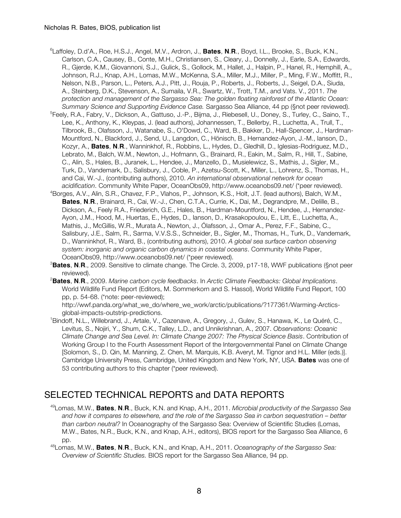- 6 Laffoley, D.d'A., Roe, H.S.J., Angel, M.V., Ardron, J., **Bates**, **N**.**R**., Boyd, I.L., Brooke, S., Buck, K.N., Carlson, C.A., Causey, B., Conte, M.H., Christiansen, S., Cleary, J., Donnelly, J., Earle, S.A., Edwards, R., Gjerde, K.M., Giovannoni, S.J., Gulick, S., Gollock, M., Hallet, J., Halpin, P., Hanel, R., Hemphill, A., Johnson, R.J., Knap, A.H., Lomas, M.W., McKenna, S.A., Miller, M.J., Miller, P., Ming, F.W., Moffitt, R., Nelson, N.B., Parson, L., Peters, A.J., Pitt, J., Rouja, P., Roberts, J., Roberts, J., Seigel, D.A., Siuda, A., Steinberg, D.K., Stevenson, A., Sumaila, V.R., Swartz, W., Trott, T.M., and Vats. V., 2011. *The protection and management of the Sargasso Sea: The golden floating rainforest of the Atlantic Ocean: Summary Science and Supporting Evidence Case.* Sargasso Sea Alliance, 44 pp (§not peer reviewed).
- <sup>5</sup>Feely, R.A., Fabry, V., Dickson, A., Gattuso, J.-P., Bijma, J., Riebesell, U., Doney, S., Turley, C., Saino, T., Lee, K., Anthony, K., Kleypas, J. (lead authors), Johannessen, T., Bellerby, R., Luchetta, A., Trull, T., Tilbrook, B., Olafsson, J., Watanabe, S., O'Dowd, C., Ward, B., Bakker, D., Hall-Spencer, J., Hardman-Mountford, N., Blackford, J., Send, U., Langdon, C., Hönisch, B., Hernandez-Ayon, J.-M., Ianson, D., Kozyr, A., **Bates**, **N**.**R**., Wanninkhof, R., Robbins, L., Hydes, D., Gledhill, D., Iglesias-Rodriguez, M.D., Lebrato, M., Balch, W.M., Newton, J., Hofmann, G., Brainard, R., Eakin, M., Salm, R., Hill, T., Sabine, C., Alin, S., Hales, B., Juranek, L., Hendee, J., Manzello, D., Musielewicz, S., Mathis, J., Sigler, M., Turk, D., Vandemark, D., Salisbury, J., Coble, P., Azetsu-Scott, K., Miller, L., Lohrenz, S., Thomas, H., and Cai, W.-J., (contributing authors), 2010. *An international observational network for ocean acidification*. Community White Paper, OceanObs09, http://www.oceanobs09.net/ (\*peer reviewed).
- 4 Borges, A.V., Alin, S.R., Chavez, F.P., Vlahos, P., Johnson, K.S., Holt, J.T. (lead authors), Balch, W.M., **Bates**, **N**.**R**., Brainard, R., Cai, W.-J., Chen, C.T.A., Currie, K., Dai, M., Degrandpre, M., Delille, B., Dickson, A., Feely R.A., Friederich, G.E., Hales, B., Hardman-Mountford, N., Hendee, J., Hernandez-Ayon, J.M., Hood, M., Huertas, E., Hydes, D., Ianson, D., Krasakopoulou, E., Litt, E., Luchetta, A., Mathis, J., McGillis, W.R., Murata A., Newton, J., Ólafsson, J., Omar A., Perez, F.F., Sabine, C., Salisbury, J.E., Salm, R., Sarma, V.V.S.S., Schneider, B., Sigler, M., Thomas, H., Turk, D., Vandemark, D., Wanninkhof, R., Ward, B., (contributing authors), 2010. *A global sea surface carbon observing system: inorganic and organic carbon dynamics in coastal oceans*. Community White Paper, OceanObs09, http://www.oceanobs09.net/ (\*peer reviewed).
- 3 **Bates**, **N**.**R**., 2009. Sensitive to climate change. The Circle. 3, 2009, p17-18, WWF publications (§not peer reviewed).
- 2 **Bates**, **N**.**R**., 2009. *Marine carbon cycle feedbacks*. In *Arctic Climate Feedbacks: Global Implications*. World Wildlife Fund Report (Editors, M. Sommerkorn and S. Hassol), World Wildlife Fund Report, 100 pp, p. 54-68. (\*note: peer-reviewed);

http://wwf.panda.org/what\_we\_do/where\_we\_work/arctic/publications/?177361/Warming-Arcticsglobal-impacts-outstrip-predictions.

1 Bindoff, N.L., Willebrand, J., Artale, V., Cazenave, A., Gregory, J., Gulev, S., Hanawa, K., Le Quéré, C., Levitus, S., Nojiri, Y., Shum, C.K., Talley, L.D., and Unnikrishnan, A., 2007. *Observations: Oceanic Climate Change and Sea Level. In: Climate Change 2007: The Physical Science Basis*. Contribution of Working Group I to the Fourth Assessment Report of the Intergovernmental Panel on Climate Change [Solomon, S., D. Qin, M. Manning, Z. Chen, M. Marquis, K.B. Averyt, M. Tignor and H.L. Miller (eds.)]. Cambridge University Press, Cambridge, United Kingdom and New York, NY, USA. **Bates** was one of 53 contributing authors to this chapter (\*peer reviewed).

### SELECTED TECHNICAL REPORTS and DATA REPORTS

49Lomas, M.W., **Bates**, **N**.**R**., Buck, K.N. and Knap, A.H., 2011. *Microbial productivity of the Sargasso Sea and how it compares to elsewhere, and the role of the Sargasso Sea in carbon sequestration – better than carbon neutral?* In Oceanography of the Sargasso Sea: Overview of Scientific Studies (Lomas, M.W., Bates, N.R., Buck, K.N., and Knap, A.H., editors), BIOS report for the Sargasso Sea Alliance, 6 pp.

48Lomas, M.W., **Bates**, **N**.**R**., Buck, K.N., and Knap, A.H., 2011. *Oceanography of the Sargasso Sea: Overview of Scientific Studies.* BIOS report for the Sargasso Sea Alliance, 94 pp.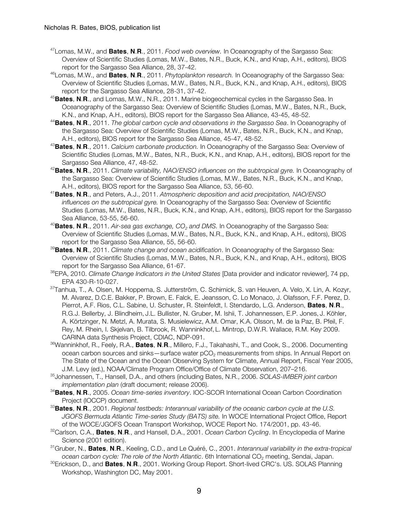- 47Lomas, M.W., and **Bates**, **N**.**R**., 2011. *Food web overview.* In Oceanography of the Sargasso Sea: Overview of Scientific Studies (Lomas, M.W., Bates, N.R., Buck, K.N., and Knap, A.H., editors), BIOS report for the Sargasso Sea Alliance, 28, 37-42.
- 46Lomas, M.W., and **Bates**, **N**.**R**., 2011. *Phytoplankton research.* In Oceanography of the Sargasso Sea: Overview of Scientific Studies (Lomas, M.W., Bates, N.R., Buck, K.N., and Knap, A.H., editors), BIOS report for the Sargasso Sea Alliance, 28-31, 37-42.
- <sup>45</sup>**Bates**, **N**.**R**., and Lomas, M.W., N.R., 2011. Marine biogeochemical cycles in the Sargasso Sea. In Oceanography of the Sargasso Sea: Overview of Scientific Studies (Lomas, M.W., Bates, N.R., Buck, K.N., and Knap, A.H., editors), BIOS report for the Sargasso Sea Alliance, 43-45, 48-52.
- <sup>44</sup>**Bates**, **N**.**R**., 2011. *The global carbon cycle and observations in the Sargasso Sea*. In Oceanography of the Sargasso Sea: Overview of Scientific Studies (Lomas, M.W., Bates, N.R., Buck, K.N., and Knap, A.H., editors), BIOS report for the Sargasso Sea Alliance, 45-47, 48-52.
- <sup>43</sup>**Bates**, **N**.**R**., 2011. *Calcium carbonate production.* In Oceanography of the Sargasso Sea: Overview of Scientific Studies (Lomas, M.W., Bates, N.R., Buck, K.N., and Knap, A.H., editors), BIOS report for the Sargasso Sea Alliance, 47, 48-52.
- <sup>42</sup>**Bates**, **N**.**R**., 2011. *Climate variability, NAO/ENSO influences on the subtropical gyre.* In Oceanography of the Sargasso Sea: Overview of Scientific Studies (Lomas, M.W., Bates, N.R., Buck, K.N., and Knap, A.H., editors), BIOS report for the Sargasso Sea Alliance, 53, 56-60.
- <sup>41</sup>**Bates**, **N**.**R**., and Peters, A.J., 2011. *Atmospheric deposition and acid precipitation, NAO/ENSO influences on the subtropical gyre.* In Oceanography of the Sargasso Sea: Overview of Scientific Studies (Lomas, M.W., Bates, N.R., Buck, K.N., and Knap, A.H., editors), BIOS report for the Sargasso Sea Alliance, 53-55, 56-60.
- <sup>40</sup>Bates, N.R., 2011. *Air-sea gas exchange, CO<sub>2</sub> and DMS.* In Oceanography of the Sargasso Sea: Overview of Scientific Studies (Lomas, M.W., Bates, N.R., Buck, K.N., and Knap, A.H., editors), BIOS report for the Sargasso Sea Alliance, 55, 56-60.
- 39 **Bates**, **N**.**R**., 2011. *Climate change and ocean acidification*. In Oceanography of the Sargasso Sea: Overview of Scientific Studies (Lomas, M.W., Bates, N.R., Buck, K.N., and Knap, A.H., editors), BIOS report for the Sargasso Sea Alliance, 61-67.
- 38 EPA, 2010. *Climate Change Indicators in the United States* [Data provider and indicator reviewer], 74 pp, EPA 430-R-10-027.
- *37* Tanhua, T., A. Olsen, M. Hoppema, S. Jutterström, C. Schirnick, S. van Heuven, A. Velo, X. Lin, A. Kozyr, M. Alvarez, D.C.E. Bakker, P. Brown, E. Falck, E. Jeansson, C. Lo Monaco, J. Olafsson, F.F. Perez, D. Pierrot, A.F. Rios, C.L. Sabine, U. Schuster, R. Steinfeldt, I. Stendardo, L.G. Anderson, **Bates**, **N**.**R**., R.G.J. Bellerby, J. Blindheim, J.L. Bullister, N. Gruber, M. Ishii, T. Johannessen, E.P. Jones, J. Köhler, A. Körtzinger, N. Metzl, A. Murata, S. Musielewicz, A.M. Omar, K.A. Olsson, M. de la Paz, B. Pfeil, F. Rey, M. Rhein, I. Skjelvan, B. Tilbrook, R. Wanninkhof, L. Mintrop, D.W.R. Wallace, R.M. Key, 2009. CARINA data Synthesis Project, CDIAC, NDP-091.
- 36 Wanninkhof, R., Feely, R.A., **Bates**, **N**.**R**., Millero, F.J., Takahashi, T., and Cook, S., 2006. Documenting ocean carbon sources and sinks—surface water pCO<sub>2</sub> measurements from ships. In Annual Report on The State of the Ocean and the Ocean Observing System for Climate, Annual Report, Fiscal Year 2005, J.M. Levy (ed.), NOAA/Climate Program Office/Office of Climate Observation, 207–216.
- 35 Johannessen, T., Hansell, D.A., and others (including Bates, N.R., 2006. *SOLAS-IMBER joint carbon implementation plan* (draft document; release 2006).
- 34 **Bates**, **N**.**R**., 2005. *Ocean time-series inventory*. IOC-SCOR International Ocean Carbon Coordination Project (IOCCP) document.
- **Bates**, **N**.**R**., 2001. *Regional testbeds: Interannual variability of the oceanic carbon cycle at the U.S. JGOFS Bermuda Atlantic Time-series Study (BATS) site.* In WOCE International Project Office, Report of the WOCE/JGOFS Ocean Transport Workshop, WOCE Report No. 174/2001, pp. 43-46.
- 32 Carlson, C.A., **Bates**, **N**.**R**., and Hansell, D.A., 2001. *Ocean Carbon Cycling*. In Encyclopedia of Marine Science (2001 edition).
- 31Gruber, N., **Bates**, **N**.**R**., Keeling, C.D., and Le Quéré, C., 2001. *Interannual variability in the extra-tropical ocean carbon cycle: The role of the North Atlantic*. 6th International CO<sub>2</sub> meeting, Sendai, Japan.<br><sup>30</sup>Erickson, D., and **Bates, N.R**., 2001. Working Group Report. Short-lived CRC's. US. SOLAS Planning
- Workshop, Washington DC, May 2001.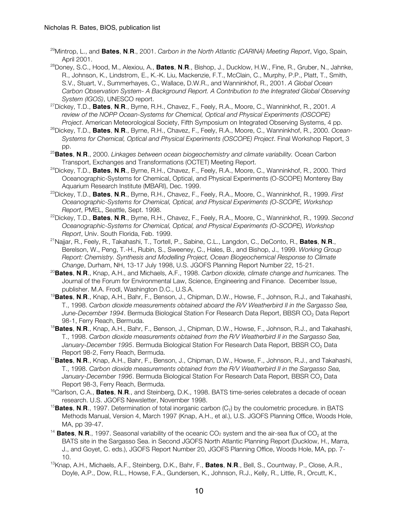- 29Mintrop, L., and **Bates**, **N**.**R**., 2001. *Carbon in the North Atlantic (CARINA) Meeting Report*, Vigo, Spain, April 2001.
- 28Doney, S.C., Hood, M., Alexiou, A., **Bates**, **N**.**R**., Bishop, J., Ducklow, H.W., Fine, R., Gruber, N., Jahnke, R., Johnson, K., Lindstrom, E., K.-K. Liu, Mackenzie, F.T., McClain, C., Murphy, P.P., Platt, T., Smith, S.V., Stuart, V., Summerhayes, C., Wallace, D.W.R., and Wanninkhof, R., 2001. *A Global Ocean Carbon Observation System- A Background Report. A Contribution to the Integrated Global Observing System (IGOS)*, UNESCO report.
- 27Dickey, T.D., **Bates**, **N**.**R**., Byrne, R.H., Chavez, F., Feely, R.A., Moore, C., Wanninkhof, R., 2001. *A review of the NOPP Ocean-Systems for Chemical, Optical and Physical Experiments (OSCOPE) Project*. American Meteorological Society, Fifth Symposium on Integrated Observing Systems, 4 pp.
- 26Dickey, T.D., **Bates**, **N**.**R**., Byrne, R.H., Chavez, F., Feely, R.A., Moore, C., Wanninkhof, R., 2000. *Ocean-Systems for Chemical, Optical and Physical Experiments (OSCOPE) Project*. Final Workshop Report, 3 pp.
- <sup>25</sup>**Bates**, **N**.**R**., 2000. *Linkages between ocean biogeochemistry and climate variability.* Ocean Carbon
- Transport, Exchanges and Transformations (OCTET) Meeting Report. 24Dickey, T.D., **Bates**, **<sup>N</sup>**.**R**., Byrne, R.H., Chavez, F., Feely, R.A., Moore, C., Wanninkhof, R., 2000. Third Oceanographic-Systems for Chemical, Optical, and Physical Experiments (O-SCOPE) Monterey Bay Aquarium Research Institute (MBARI), Dec. 1999.
- 23Dickey, T.D., **Bates**, **N**.**R**., Byrne, R.H., Chavez, F., Feely, R.A., Moore, C., Wanninkhof, R., 1999. *First Oceanographic-Systems for Chemical, Optical, and Physical Experiments (O-SCOPE, Workshop Report*, PMEL, Seattle, Sept. 1998.
- 22Dickey, T.D., **Bates**, **N**.**R**., Byrne, R.H., Chavez, F., Feely, R.A., Moore, C., Wanninkhof, R., 1999. *Second Oceanographic-Systems for Chemical, Optical, and Physical Experiments (O-SCOPE), Workshop Report*, Univ. South Florida, Feb. 1999.
- 21Najjar, R., Feely, R., Takahashi, T., Tortell, P., Sabine, C.L., Langdon, C., DeConto, R., **Bates**, **N**.**R**., Berelson, W., Peng, T.-H., Rubin, S., Sweeney, C., Hales, B., and Bishop, J., 1999. *Working Group Report: Chemistry. Synthesis and Modelling Project, Ocean Biogeochemical Response to Climate Change*, Durham, NH, 13-17 July 1998, U.S. JGOFS Planning Report Number 22, 15-21.
- <sup>20</sup>**Bates**, **N**.**R**., Knap, A.H., and Michaels, A.F., 1998. *Carbon dioxide, climate change and hurricanes.* The Journal of the Forum for Environmental Law, Science, Engineering and Finance. December Issue, publisher. M.A. Frodl, Washington D.C., U.S.A. 19**Bates**, **<sup>N</sup>**.**R**., Knap, A.H., Bahr, F., Benson, J., Chipman, D.W., Howse, F., Johnson, R.J., and Takahashi,
- T., 1998. *Carbon dioxide measurements obtained aboard the R/V Weatherbird II in the Sargasso Sea, June-December 1994*. Bermuda Biological Station For Research Data Report, BBSR CO<sub>2</sub> Data Report 98-1, Ferry Reach, Bermuda. 18**Bates**, **<sup>N</sup>**.**R**., Knap, A.H., Bahr, F., Benson, J., Chipman, D.W., Howse, F., Johnson, R.J., and Takahashi,
- T., 1998. *Carbon dioxide measurements obtained from the R/V Weatherbird II in the Sargasso Sea,*  January-December 1995. Bermuda Biological Station For Research Data Report, BBSR CO<sub>2</sub> Data Report 98-2, Ferry Reach, Bermuda. 17**Bates**, **<sup>N</sup>**.**R**., Knap, A.H., Bahr, F., Benson, J., Chipman, D.W., Howse, F., Johnson, R.J., and Takahashi,
- T., 1998. *Carbon dioxide measurements obtained from the R/V Weatherbird II in the Sargasso Sea,*  January-December 1996. Bermuda Biological Station For Research Data Report, BBSR CO<sub>2</sub> Data Report 98-3, Ferry Reach, Bermuda.
- <sup>16</sup>Carlson, C.A., **Bates**, N.R., and Steinberg, D.K., 1998. BATS time-series celebrates a decade of ocean research. U.S. JGOFS Newsletter, November 1998.
- <sup>15</sup>Bates, N.R., 1997. Determination of total inorganic carbon (C<sub>T</sub>) by the coulometric procedure. in BATS Methods Manual, Version 4, March 1997 (Knap, A.H., et al.), U.S. JGOFS Planning Office, Woods Hole, MA, pp 39-47.
- <sup>14</sup> Bates, N.R., 1997. Seasonal variability of the oceanic CO<sub>2</sub> system and the air-sea flux of CO<sub>2</sub> at the BATS site in the Sargasso Sea. in Second JGOFS North Atlantic Planning Report (Ducklow, H., Marra, J., and Goyet, C. eds.), JGOFS Report Number 20, JGOFS Planning Office, Woods Hole, MA, pp. 7- 10.
- 13Knap, A.H., Michaels, A.F., Steinberg, D.K., Bahr, F., **Bates**, **N**.**R**., Bell, S., Countway, P., Close, A.R., Doyle, A.P., Dow, R.L., Howse, F.A., Gundersen, K., Johnson, R.J., Kelly, R., Little, R., Orcutt, K.,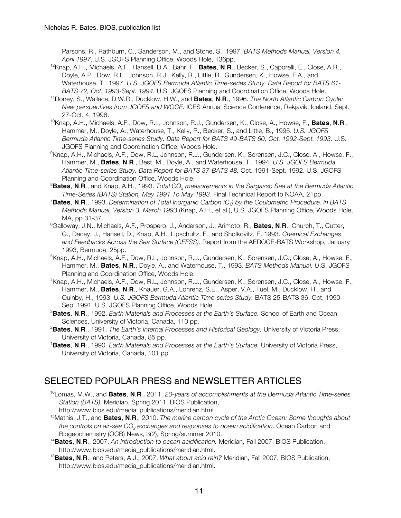Parsons, R., Rathburn, C., Sanderson, M., and Stone, S., 1997. *BATS Methods Manual, Version 4, April 1997*, U.S. JGOFS Planning Office, Woods Hole, 136pp.

- 12Knap, A.H., Michaels, A.F., Hansell, D.A., Bahr, F., **Bates**, **N**.**R**., Becker, S., Caporelli, E., Close, A.R., Doyle, A.P., Dow, R.L., Johnson, R.J., Kelly, R., Little, R., Gundersen, K., Howse, F.A., and Waterhouse, T., 1997. *U.S. JGOFS Bermuda Atlantic Time-series Study. Data Report for BATS 61- BATS 72, Oct. 1993-Sept. 1994.* U.S. JGOFS Planning and Coordination Office, Woods Hole.
- 11Doney, S., Wallace, D.W.R., Ducklow, H.W., and **Bates**, **N**.**R**., 1996. *The North Atlantic Carbon Cycle: New perspectives from JGOFS and WOCE.* ICES Annual Science Conference, Rekjavik, Iceland, Sept. 27-Oct. 4, 1996.
- 10Knap, A.H., Michaels, A.F., Dow, R.L, Johnson, R.J., Gundersen, K., Close, A., Howse, F., **Bates**, **N**.**R**., Hammer, M., Doyle, A., Waterhouse, T., Kelly, R., Becker, S., and Little, B., 1995. *U.S. JGOFS Bermuda Atlantic Time-series Study. Data Report for BATS 49-BATS 60, Oct. 1992-Sept. 1993*. U.S. JGOFS Planning and Coordination Office, Woods Hole.
- 9 Knap, A.H., Michaels, A.F., Dow, R.L, Johnson, R.J., Gundersen, K., Sorensen, J.C., Close, A., Howse, F., Hammer, M., **Bates**, **N**.**R**., Best, M., Doyle, A., and Waterhouse, T., 1994. *U.S. JGOFS Bermuda Atlantic Time-series Study. Data Report for BATS 37-BATS 48,* Oct. 1991-Sept. 1992. U.S. JGOFS Planning and Coordination Office, Woods Hole.
- 8 **Bates**, **N**.**R**., and Knap, A.H., 1993. *Total CO2 measurements in the Sargasso Sea at the Bermuda Atlantic Time-Series (BATS) Station, May 1991 To May 1993.* Final Technical Report to NOAA, 21pp.
- 7 **Bates**, **N**.**R**., 1993. *Determination of Total Inorganic Carbon (CT) by the Coulometric Procedure. in BATS Methods Manual, Version 3, March 1993* (Knap, A.H., et al.), U.S. JGOFS Planning Office, Woods Hole, MA, pp 31-37.
- 6 Galloway, J.N., Michaels, A.F., Prospero, J., Anderson, J., Arimoto, R., **Bates**, **N**.**R**., Church, T., Cutter, G., Dacey, J., Hansell, D., Knap, A.H., Lipschultz, F., and Sholkovitz, E. 1993. *Chemical Exchanges and Feedbacks Across the Sea Surface (CEFSS).* Report from the AEROCE-BATS Workshop, January 1993, Bermuda, 25pp.
- <sup>5</sup>Knap, A.H., Michaels, A.F., Dow, R.L, Johnson, R.J., Gundersen, K., Sorensen, J.C., Close, A., Howse, F., Hammer, M., **Bates**, **N**.**R**., Doyle, A., and Waterhouse, T., 1993. *BATS Methods Manual. U*.S. JGOFS Planning and Coordination Office, Woods Hole.
- 4 Knap, A.H., Michaels, A.F., Dow, R.L, Johnson, R.J., Gundersen, K., Sorensen, J.C., Close, A., Howse, F., Hammer, M., **Bates**, **N**.**R**., Knauer, G.A., Lohrenz, S.E., Asper, V.A., Tuel, M., Ducklow, H., and Quinby, H., 1993. *U.S. JGOFS Bermuda Atlantic Time-series Study.* BATS 25-BATS 36, Oct, 1990- Sep. 1991. U.S. JGOFS Planning Office, Woods Hole.
- 3 **Bates**, **N**.**R**., 1992. *Earth Materials and Processes at the Earth's Surface.* School of Earth and Ocean Sciences, University of Victoria, Canada, 110 pp.
- 2 **Bates**, **N**.**R**., 1991. *The Earth's Internal Processes and Historical Geology.* University of Victoria Press, University of Victoria, Canada, 85 pp. 1
- **Bates**, **N**.**R**., 1990. *Earth Materials and Processes at the Earth's Surface.* University of Victoria Press, University of Victoria, Canada, 101 pp.

### SELECTED POPULAR PRESS and NEWSLETTER ARTICLES

- 16Lomas, M.W., and **Bates**, **N**.**R**., 2011. *20-years of accomplishments at the Bermuda Atlantic Time-series Station (BATS).* Meridian, Spring 2011, BIOS Publication, http://www.bios.edu/media\_publications/meridian.html.
- 15Mathis, J.T., and **Bates**, **N**.**R**., 2010. *The marine carbon cycle of the Arctic Ocean: Some thoughts about the controls on air-sea CO2 exchanges and responses to ocean acidification*. Ocean Carbon and
- Biogeochemistry (OCB) News, 3(2), Spring/summer 2010. <sup>14</sup>**Bates**, **N**.**R**., 2007. *An introduction to ocean acidification.* Meridian, Fall 2007, BIOS Publication, http://www.bios.edu/media\_publications/meridian.html.
- <sup>13</sup>**Bates**, **N**.**R**., and Peters, A.J., 2007. *What about acid rain?* Meridian, Fall 2007, BIOS Publication, http://www.bios.edu/media\_publications/meridian.html.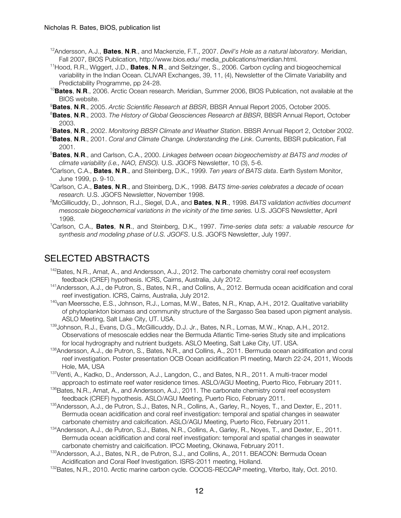- 12Andersson, A.J., **Bates**, **N**.**R**., and Mackenzie, F.T., 2007. *Devil's Hole as a natural laboratory.* Meridian, Fall 2007, BIOS Publication, http://www.bios.edu/ media\_publications/meridian.html.
- 11Hood, R.R., Wiggert, J.D., **Bates**, **N**.**R**., and Seitzinger, S., 2006. Carbon cycling and biogeochemical variability in the Indian Ocean. CLIVAR Exchanges, 39, 11, (4), Newsletter of the Climate Variability and Predictability Programme, pp 24-28.
- <sup>10</sup>**Bates**, **N**.**R**., 2006. Arctic Ocean research. Meridian, Summer 2006, BIOS Publication, not available at the BIOS website.
- 9 **Bates**, **N**.**R**., 2005. *Arctic Scientific Research at BBSR*, BBSR Annual Report 2005, October 2005.
- 8 **Bates**, **N**.**R**., 2003. *The History of Global Geosciences Research at BBSR*, BBSR Annual Report, October 2003.
- 7 **Bates**, **N**.**R**., 2002. *Monitoring BBSR Climate and Weather Station*. BBSR Annual Report 2, October 2002.
- 6 **Bates**, **N**.**R**., 2001. *Coral and Climate Change. Understanding the Link*. Currents, BBSR publication, Fall 2001.
- 5 **Bates**, **N**.**R**., and Carlson, C.A., 2000. *Linkages between ocean biogeochemistry at BATS and modes of climate variability (i.e., NAO, ENSO).* U.S. JGOFS Newsletter, 10 (3), 5-6.
- 4 Carlson, C.A., **Bates**, **N**.**R**., and Steinberg, D.K., 1999. *Ten years of BATS data*. Earth System Monitor, June 1999, p. 9-10.
- 3 Carlson, C.A., **Bates**, **N**.**R**., and Steinberg, D.K., 1998. *BATS time-series celebrates a decade of ocean research.* U.S. JGOFS Newsletter, November 1998.
- 2 McGillicuddy, D., Johnson, R.J., Siegel, D.A., and **Bates**, **N**.**R**., 1998. *BATS validation activities document mesoscale biogeochemical variations in the vicinity of the time series.* U.S. JGOFS Newsletter, April 1998.
- 1 Carlson, C.A., **Bates**, **N**.**R**., and Steinberg, D.K., 1997. *Time-series data sets: a valuable resource for synthesis and modeling phase of U.S. JGOFS*. U.S. JGOFS Newsletter, July 1997.

#### SELECTED ABSTRACTS

- <sup>142</sup>Bates, N.R., Amat, A., and Andersson, A.J., 2012. The carbonate chemistry coral reef ecosystem feedback (CREF) hypothesis. ICRS, Cairns, Australia, July 2012.
- 141Andersson, A.J., de Putron, S., Bates, N.R., and Collins, A., 2012. Bermuda ocean acidification and coral reef investigation. ICRS, Cairns, Australia, July 2012.
- 140van Meerssche, E.S., Johnson, R.J., Lomas, M.W., Bates, N.R., Knap, A.H., 2012. Qualitative variability of phytoplankton biomass and community structure of the Sargasso Sea based upon pigment analysis. ASLO Meeting, Salt Lake City, UT. USA.
- 139 Johnson, R.J., Evans, D.G., McGillicuddy, D.J. Jr., Bates, N.R., Lomas, M.W., Knap, A.H., 2012. Observations of mesoscale eddies near the Bermuda Atlantic Time-series Study site and implications for local hydrography and nutrient budgets. ASLO Meeting, Salt Lake City, UT. USA.
- 138Andersson, A.J., de Putron, S., Bates, N.R., and Collins, A., 2011. Bermuda ocean acidification and coral reef investigation. Poster presentation OCB Ocean acidification PI meeting, March 22-24, 2011, Woods Hole, MA, USA
- <sup>137</sup>Venti, A., Kadko, D., Andersson, A.J., Langdon, C., and Bates, N.R., 2011. A multi-tracer model approach to estimate reef water residence times. ASLO/AGU Meeting, Puerto Rico, February 2011.
- 136Bates, N.R., Amat, A., and Andersson, A.J., 2011. The carbonate chemistry coral reef ecosystem feedback (CREF) hypothesis. ASLO/AGU Meeting, Puerto Rico, February 2011.
- 135Andersson, A.J., de Putron, S.J., Bates, N.R., Collins, A., Garley, R., Noyes, T., and Dexter, E., 2011. Bermuda ocean acidification and coral reef investigation: temporal and spatial changes in seawater carbonate chemistry and calcification. ASLO/AGU Meeting, Puerto Rico, February 2011.
- 134Andersson, A.J., de Putron, S.J., Bates, N.R., Collins, A., Garley, R., Noyes, T., and Dexter, E., 2011. Bermuda ocean acidification and coral reef investigation: temporal and spatial changes in seawater carbonate chemistry and calcification. IPCC Meeting, Okinawa, February 2011.
- 133 Andersson, A.J., Bates, N.R., de Putron, S.J., and Collins, A., 2011. BEACON: Bermuda Ocean
- Acidification and Coral Reef Investigation. ISRS-2011 meeting, Holland.<br><sup>132</sup>Bates, N.R., 2010. Arctic marine carbon cycle. COCOS-RECCAP meeting, Viterbo, Italy, Oct. 2010.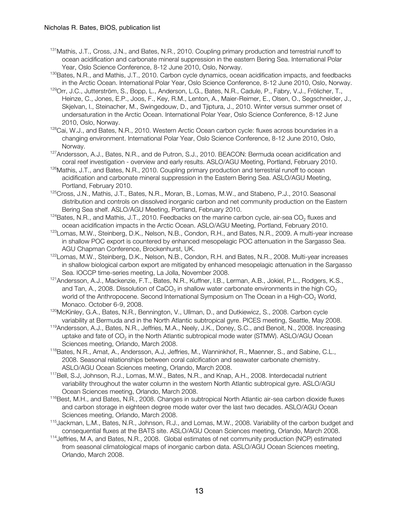- <sup>131</sup> Mathis, J.T., Cross, J.N., and Bates, N.R., 2010. Coupling primary production and terrestrial runoff to ocean acidification and carbonate mineral suppression in the eastern Bering Sea. International Polar Year, Oslo Science Conference, 8-12 June 2010, Oslo, Norway.
- <sup>130</sup>Bates, N.R., and Mathis, J.T., 2010. Carbon cycle dynamics, ocean acidification impacts, and feedbacks in the Arctic Ocean. International Polar Year, Oslo Science Conference, 8-12 June 2010, Oslo, Norway. <sup>129</sup>Orr, J.C., Jutterström, S., Bopp, L., Anderson, L.G., Bates, N.R., Cadule, P., Fabry, V.J., Frölicher, T.,
- Heinze, C., Jones, E.P., Joos, F., Key, R.M., Lenton, A., Maier-Reimer, E., Olsen, O., Segschneider, J., Skjelvan, I., Steinacher, M., Swingedouw, D., and Tjiptura, J., 2010. Winter versus summer onset of undersaturation in the Arctic Ocean. International Polar Year, Oslo Science Conference, 8-12 June 2010, Oslo, Norway.
- 128Cai, W.J., and Bates, N.R., 2010. Western Arctic Ocean carbon cycle: fluxes across boundaries in a changing environment. International Polar Year, Oslo Science Conference, 8-12 June 2010, Oslo, Norway.
- <sup>127</sup>Andersson, A.J., Bates, N.R., and de Putron, S.J., 2010. BEACON: Bermuda ocean acidification and coral reef investigation - overview and early results. ASLO/AGU Meeting, Portland, February 2010.
- $126$ Mathis, J.T., and Bates, N.R., 2010. Coupling primary production and terrestrial runoff to ocean acidification and carbonate mineral suppression in the Eastern Bering Sea. ASLO/AGU Meeting, Portland, February 2010.
- 125 Cross, J.N., Mathis, J.T., Bates, N.R., Moran, B., Lomas, M.W., and Stabeno, P.J., 2010. Seasonal distribution and controls on dissolved inorganic carbon and net community production on the Eastern Bering Sea shelf. ASLO/AGU Meeting, Portland, February 2010.
- $124$ Bates, N.R., and Mathis, J.T., 2010. Feedbacks on the marine carbon cycle, air-sea CO<sub>2</sub> fluxes and ocean acidification impacts in the Arctic Ocean. ASLO/AGU Meeting, Portland, February 2010.
- <sup>123</sup>Lomas, M.W., Steinberg, D.K., Nelson, N.B., Condon, R.H., and Bates, N.R., 2009. A multi-year increase in shallow POC export is countered by enhanced mesopelagic POC attenuation in the Sargasso Sea. AGU Chapman Conference, Brockenhurst, UK.
- 122Lomas, M.W., Steinberg, D.K., Nelson, N.B., Condon, R.H. and Bates, N.R., 2008. Multi-year increases in shallow biological carbon export are mitigated by enhanced mesopelagic attenuation in the Sargasso
- Sea. IOCCP time-series meeting, La Jolla, November 2008.<br><sup>121</sup>Andersson, A.J., Mackenzie, F.T., Bates, N.R., Kuffner, I.B., Lerman, A.B., Jokiel, P.L., Rodgers, K.S., and Tan, A., 2008. Dissolution of  $CaCO<sub>3</sub>$  in shallow water carbonate environments in the high CO<sub>2</sub> world of the Anthropocene. Second International Symposium on The Ocean in a High-CO<sub>2</sub> World,
- Monaco. October 6-9, 2008.<br><sup>120</sup>McKinley, G.A., Bates, N.R., Bennington, V., Ullman, D., and Dutkiewicz, S., 2008. Carbon cycle variability at Bermuda and in the North Atlantic subtropical gyre. PICES meeting, Seattle, May 2008.
- <sup>119</sup>Andersson, A.J., Bates, N.R., Jeffries, M.A., Neely, J.K., Doney, S.C., and Benoit, N., 2008. Increasing uptake and fate of  $CO<sub>2</sub>$  in the North Atlantic subtropical mode water (STMW). ASLO/AGU Ocean Sciences meeting, Orlando, March 2008.
- 118Bates, N.R., Amat, A., Andersson, A.J, Jeffries, M., Wanninkhof, R., Maenner, S., and Sabine, C.L., 2008. Seasonal relationships between coral calcification and seawater carbonate chemistry. ASLO/AGU Ocean Sciences meeting, Orlando, March 2008.
- 117Bell, S.J, Johnson, R.J., Lomas, M.W., Bates, N.R., and Knap, A.H., 2008. Interdecadal nutrient variability throughout the water column in the western North Atlantic subtropical gyre. ASLO/AGU Ocean Sciences meeting, Orlando, March 2008.
- <sup>116</sup>Best, M.H., and Bates, N.R., 2008. Changes in subtropical North Atlantic air-sea carbon dioxide fluxes and carbon storage in eighteen degree mode water over the last two decades. ASLO/AGU Ocean Sciences meeting, Orlando, March 2008.
- 115Jackman, L.M., Bates, N.R., Johnson, R.J., and Lomas, M.W., 2008. Variability of the carbon budget and consequential fluxes at the BATS site. ASLO/AGU Ocean Sciences meeting, Orlando, March 2008.
- 114Jeffries, M A, and Bates, N.R., 2008. Global estimates of net community production (NCP) estimated from seasonal climatological maps of inorganic carbon data. ASLO/AGU Ocean Sciences meeting, Orlando, March 2008.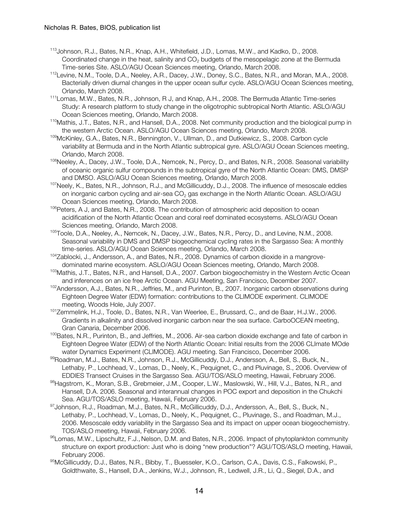- 113Johnson, R.J., Bates, N.R., Knap, A.H., Whitefield, J.D., Lomas, M.W., and Kadko, D., 2008. Coordinated change in the heat, salinity and CO<sub>2</sub> budgets of the mesopelagic zone at the Bermuda Time-series Site. ASLO/AGU Ocean Sciences meeting, Orlando, March 2008.
- <sup>112</sup>Levine, N.M., Toole, D.A., Neeley, A.R., Dacey, J.W., Doney, S.C., Bates, N.R., and Moran, M.A., 2008. Bacterially driven diurnal changes in the upper ocean sulfur cycle. ASLO/AGU Ocean Sciences meeting, Orlando, March 2008.
- 111Lomas, M.W., Bates, N.R., Johnson, R J, and Knap, A.H., 2008. The Bermuda Atlantic Time-series Study: A research platform to study change in the oligotrophic subtropical North Atlantic. ASLO/AGU Ocean Sciences meeting, Orlando, March 2008.
- <sup>110</sup>Mathis, J.T., Bates, N.R., and Hansell, D.A., 2008. Net community production and the biological pump in the western Arctic Ocean. ASLO/AGU Ocean Sciences meeting, Orlando, March 2008.
- 109McKinley, G.A., Bates, N.R., Bennington, V., Ullman, D., and Dutkiewicz, S., 2008. Carbon cycle variability at Bermuda and in the North Atlantic subtropical gyre. ASLO/AGU Ocean Sciences meeting, Orlando, March 2008.
- <sup>108</sup>Neeley, A., Dacey, J.W., Toole, D.A., Nemcek, N., Percy, D., and Bates, N.R., 2008. Seasonal variability of oceanic organic sulfur compounds in the subtropical gyre of the North Atlantic Ocean: DMS, DMSP and DMSO. ASLO/AGU Ocean Sciences meeting, Orlando, March 2008.
- <sup>107</sup>Neely, K., Bates, N.R., Johnson, R.J., and McGillicuddy, D.J., 2008. The influence of mesoscale eddies on inorganic carbon cycling and air-sea CO<sub>2</sub> gas exchange in the North Atlantic Ocean. ASLO/AGU Ocean Sciences meeting, Orlando, March 2008.
- 106 Peters, A J, and Bates, N.R., 2008. The contribution of atmospheric acid deposition to ocean acidification of the North Atlantic Ocean and coral reef dominated ecosystems. ASLO/AGU Ocean Sciences meeting, Orlando, March 2008.
- 105Toole, D.A., Neeley, A., Nemcek, N., Dacey, J.W., Bates, N.R., Percy, D., and Levine, N.M., 2008. Seasonal variability in DMS and DMSP biogeochemical cycling rates in the Sargasso Sea: A monthly time-series. ASLO/AGU Ocean Sciences meeting, Orlando, March 2008.
- <sup>104</sup>Zablocki, J., Andersson, A., and Bates, N.R., 2008. Dynamics of carbon dioxide in a mangrovedominated marine ecosystem. ASLO/AGU Ocean Sciences meeting, Orlando, March 2008.
- 103 Mathis, J.T., Bates, N.R., and Hansell, D.A., 2007. Carbon biogeochemistry in the Western Arctic Ocean and inferences on an ice free Arctic Ocean. AGU Meeting, San Francisco, December 2007.
- $102$ Andersson, A.J., Bates, N.R., Jeffries, M., and Purinton, B., 2007. Inorganic carbon observations during Eighteen Degree Water (EDW) formation: contributions to the CLIMODE experiment. CLIMODE
- meeting, Woods Hole, July 2007.<br><sup>101</sup>Zemmelink, H.J., Toole, D., Bates, N.R., Van Weerlee, E., Brussard, C., and de Baar, H.J.W., 2006. Gradients in alkalinity and dissolved inorganic carbon near the sea surface. CarboOCEAN meeting, Gran Canaria, December 2006.
- <sup>100</sup>Bates, N.R., Purinton, B., and Jeffries, M., 2006. Air-sea carbon dioxide exchange and fate of carbon in Eighteen Degree Water (EDW) of the North Atlantic Ocean: Initial results from the 2006 CLImate MOde water Dynamics Experiment (CLIMODE). AGU meeting. San Francisco, December 2006.
- 99 Roadman, M.J., Bates, N.R., Johnson, R.J., McGillicuddy, D.J., Andersson, A., Bell, S., Buck, N., Lethaby, P., Lochhead, V., Lomas, D., Neely, K., Pequignet, C., and Pluvinage, S., 2006. Overview of EDDIES Transect Cruises in the Sargasso Sea. AGU/TOS/ASLO meeting, Hawaii, February 2006.
- 98Hagstrom, K., Moran, S.B., Grebmeier, J.M., Cooper, L.W., Maslowski, W., Hill, V.J., Bates, N.R., and Hansell, D.A. 2006. Seasonal and interannual changes in POC export and deposition in the Chukchi Sea. AGU/TOS/ASLO meeting, Hawaii, February 2006.
- 97 Johnson, R.J., Roadman, M.J., Bates, N.R., McGillicuddy, D.J., Andersson, A., Bell, S., Buck, N., Lethaby, P., Lochhead, V., Lomas, D., Neely, K., Pequignet, C., Pluvinage, S., and Roadman, M.J., 2006. Mesoscale eddy variability in the Sargasso Sea and its impact on upper ocean biogeochemistry. TOS/ASLO meeting, Hawaii, February 2006.
- 96Lomas, M.W., Lipschultz, F.J., Nelson, D.M. and Bates, N.R., 2006. Impact of phytoplankton community structure on export production: Just who is doing "new production"? AGU/TOS/ASLO meeting, Hawaii, February 2006.
- 95McGillicuddy, D.J., Bates, N.R., Bibby, T., Buesseler, K.O., Carlson, C.A., Davis, C.S., Falkowski, P., Goldthwaite, S., Hansell, D.A., Jenkins, W.J., Johnson, R., Ledwell, J.R., Li, Q., Siegel, D.A., and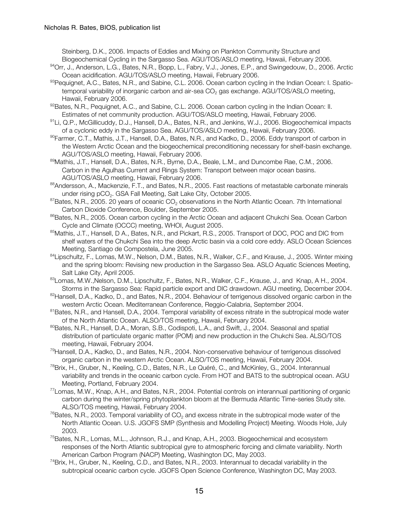Steinberg, D.K., 2006. Impacts of Eddies and Mixing on Plankton Community Structure and Biogeochemical Cycling in the Sargasso Sea. AGU/TOS/ASLO meeting, Hawaii, February 2006.

- 94Orr, J., Anderson, L.G., Bates, N.R., Bopp, L., Fabry, V.J., Jones, E.P., and Swingedouw, D., 2006. Arctic Ocean acidification. AGU/TOS/ASLO meeting, Hawaii, February 2006.
- 93Pequignet, A.C., Bates, N.R., and Sabine, C.L. 2006. Ocean carbon cycling in the Indian Ocean: I. Spatiotemporal variability of inorganic carbon and air-sea CO<sub>2</sub> gas exchange. AGU/TOS/ASLO meeting, Hawaii, February 2006.
- 92Bates, N.R., Pequignet, A.C., and Sabine, C.L. 2006. Ocean carbon cycling in the Indian Ocean: II. Estimates of net community production. AGU/TOS/ASLO meeting, Hawaii, February 2006.
- $91$ Li, Q.P., McGillicuddy, D.J., Hansell, D.A., Bates, N.R., and Jenkins, W.J., 2006. Biogeochemical impacts of a cyclonic eddy in the Sargasso Sea. AGU/TOS/ASLO meeting, Hawaii, February 2006.
- 90Farmer, C.T., Mathis, J.T., Hansell, D.A., Bates, N.R., and Kadko, D., 2006. Eddy transport of carbon in the Western Arctic Ocean and the biogeochemical preconditioning necessary for shelf-basin exchange. AGU/TOS/ASLO meeting, Hawaii, February 2006.
- 89Mathis, J.T., Hansell, D.A., Bates, N.R., Byrne, D.A., Beale, L.M., and Duncombe Rae, C.M., 2006. Carbon in the Agulhas Current and Rings System: Transport between major ocean basins. AGU/TOS/ASLO meeting, Hawaii, February 2006.
- 88Andersson, A., Mackenzie, F.T., and Bates, N.R., 2005. Fast reactions of metastable carbonate minerals
- under rising pCO<sub>2</sub>. GSA Fall Meeting, Salt Lake City, October 2005.<br><sup>87</sup>Bates, N.R., 2005. 20 years of oceanic CO<sub>2</sub> observations in the North Atlantic Ocean. 7th International Carbon Dioxide Conference, Boulder, September 2005.
- <sup>86</sup>Bates, N.R., 2005. Ocean carbon cycling in the Arctic Ocean and adjacent Chukchi Sea. Ocean Carbon Cycle and Climate (OCCC) meeting, WHOI, August 2005.
- 85Mathis, J.T., Hansell, D A., Bates, N.R., and Pickart, R.S., 2005. Transport of DOC, POC and DIC from shelf waters of the Chukchi Sea into the deep Arctic basin via a cold core eddy. ASLO Ocean Sciences Meeting, Santiago de Compostela, June 2005.<br><sup>84</sup>Lipschultz, F., Lomas, M.W., Nelson, D.M., Bates, N.R., Walker, C.F., and Krause, J., 2005. Winter mixing
- and the spring bloom: Revising new production in the Sargasso Sea. ASLO Aquatic Sciences Meeting, Salt Lake City, April 2005.
- 83Lomas, M.W., Nelson, D.M., Lipschultz, F., Bates, N.R., Walker, C.F., Krause, J., and Knap, A H., 2004. Storms in the Sargasso Sea: Rapid particle export and DIC drawdown. AGU meeting, December 2004.
- <sup>82</sup> Hansell, D.A., Kadko, D., and Bates, N.R., 2004. Behaviour of terrigenous dissolved organic carbon in the western Arctic Ocean. Mediterranean Conference, Reggio-Calabria, September 2004.
- <sup>81</sup>Bates, N.R., and Hansell, D.A., 2004. Temporal variability of excess nitrate in the subtropical mode water of the North Atlantic Ocean. ALSO/TOS meeting, Hawaii, February 2004.
- <sup>80</sup>Bates, N.R., Hansell, D.A., Moran, S.B., Codispoti, L.A., and Swift, J., 2004. Seasonal and spatial distribution of particulate organic matter (POM) and new production in the Chukchi Sea. ALSO/TOS meeting, Hawaii, February 2004.
- <sup>79</sup>Hansell, D.A., Kadko, D., and Bates, N.R., 2004. Non-conservative behaviour of terrigenous dissolved organic carbon in the western Arctic Ocean. ALSO/TOS meeting, Hawaii, February 2004.
- <sup>78</sup>Brix, H., Gruber, N., Keeling, C.D., Bates, N.R., Le Quéré, C., and McKinley, G., 2004. Interannual variability and trends in the oceanic carbon cycle. From HOT and BATS to the subtropical ocean. AGU Meeting, Portland, February 2004.
- 77Lomas, M.W., Knap, A.H., and Bates, N.R., 2004. Potential controls on interannual partitioning of organic carbon during the winter/spring phytoplankton bloom at the Bermuda Atlantic Time-series Study site. ALSO/TOS meeting, Hawaii, February 2004.
- $76$ Bates, N.R., 2003. Temporal variability of CO<sub>2</sub> and excess nitrate in the subtropical mode water of the North Atlantic Ocean. U.S. JGOFS SMP (Synthesis and Modelling Project) Meeting. Woods Hole, July 2003.
- <sup>75</sup>Bates, N.R., Lomas, M.L., Johnson, R.J., and Knap, A.H., 2003. Biogeochemical and ecosystem responses of the North Atlantic subtropical gyre to atmospheric forcing and climate variability. North American Carbon Program (NACP) Meeting, Washington DC, May 2003.
- <sup>74</sup>Brix, H., Gruber, N., Keeling, C.D., and Bates, N.R., 2003. Interannual to decadal variability in the subtropical oceanic carbon cycle. JGOFS Open Science Conference, Washington DC, May 2003.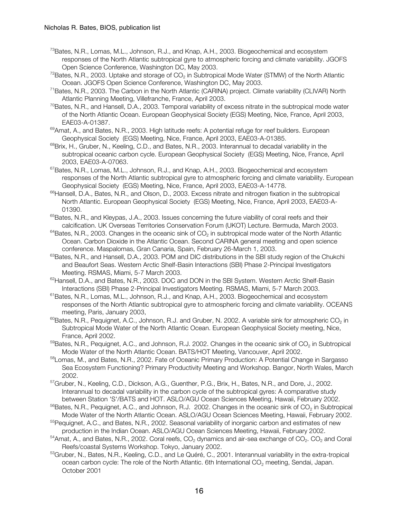- <sup>73</sup>Bates, N.R., Lomas, M.L., Johnson, R.J., and Knap, A.H., 2003. Biogeochemical and ecosystem responses of the North Atlantic subtropical gyre to atmospheric forcing and climate variability. JGOFS Open Science Conference, Washington DC, May 2003.
- $72$ Bates, N.R., 2003. Uptake and storage of CO<sub>2</sub> in Subtropical Mode Water (STMW) of the North Atlantic Ocean. JGOFS Open Science Conference, Washington DC, May 2003.
- 71Bates, N.R., 2003. The Carbon in the North Atlantic (CARINA) project. Climate variability (CLIVAR) North Atlantic Planning Meeting, Villefranche, France, April 2003.
- $70$ Bates, N.R., and Hansell, D.A., 2003. Temporal variability of excess nitrate in the subtropical mode water of the North Atlantic Ocean. European Geophysical Society (EGS) Meeting, Nice, France, April 2003, EAE03-A-01387.
- $69$ Amat, A., and Bates, N.R., 2003. High latitude reefs: A potential refuge for reef builders. European Geophysical Society (EGS) Meeting, Nice, France, April 2003, EAE03-A-01385.
- 68Brix, H., Gruber, N., Keeling, C.D., and Bates, N.R., 2003. Interannual to decadal variability in the subtropical oceanic carbon cycle. European Geophysical Society (EGS) Meeting, Nice, France, April 2003, EAE03-A-07063.
- <sup>67</sup>Bates, N.R., Lomas, M.L., Johnson, R.J., and Knap, A.H., 2003. Biogeochemical and ecosystem responses of the North Atlantic subtropical gyre to atmospheric forcing and climate variability. European Geophysical Society (EGS) Meeting, Nice, France, April 2003, EAE03-A-14778.
- <sup>66</sup>Hansell, D.A., Bates, N.R., and Olson, D., 2003. Excess nitrate and nitrogen fixation in the subtropical North Atlantic. European Geophysical Society (EGS) Meeting, Nice, France, April 2003, EAE03-A-01390.
- $65$ Bates, N.R., and Kleypas, J.A., 2003. Issues concerning the future viability of coral reefs and their calcification. UK Overseas Territories Conservation Forum (UKOT) Lecture. Bermuda, March 2003.
- $64$ Bates, N.R., 2003. Changes in the oceanic sink of CO<sub>2</sub> in subtropical mode water of the North Atlantic Ocean. Carbon Dioxide in the Atlantic Ocean. Second CARINA general meeting and open science conference. Maspalomas, Gran Canaria, Spain, February 26-March 1, 2003.
- $63$ Bates, N.R., and Hansell, D.A., 2003. POM and DIC distributions in the SBI study region of the Chukchi and Beaufort Seas. Western Arctic Shelf-Basin Interactions (SBI) Phase 2-Principal Investigators Meeting. RSMAS, Miami, 5-7 March 2003.<br><sup>62</sup>Hansell, D.A., and Bates, N.R., 2003. DOC and DON in the SBI System. Western Arctic Shelf-Basin
- Interactions (SBI) Phase 2-Principal Investigators Meeting. RSMAS, Miami, 5-7 March 2003.
- <sup>61</sup>Bates, N.R., Lomas, M.L., Johnson, R.J., and Knap, A.H., 2003. Biogeochemical and ecosystem responses of the North Atlantic subtropical gyre to atmospheric forcing and climate variability. OCEANS meeting, Paris, January 2003,<br>
<sup>60</sup>Bates, N.R., Pequignet, A.C., Johnson, R.J. and Gruber, N. 2002. A variable sink for atmospheric CO<sub>2</sub> in
- Subtropical Mode Water of the North Atlantic Ocean. European Geophysical Society meeting, Nice, France, April 2002.
- $59$ Bates, N.R., Pequignet, A.C., and Johnson, R.J. 2002. Changes in the oceanic sink of CO<sub>2</sub> in Subtropical Mode Water of the North Atlantic Ocean. BATS/HOT Meeting, Vancouver, April 2002.
- 58Lomas, M., and Bates, N.R., 2002. Fate of Oceanic Primary Production: A Potential Change in Sargasso Sea Ecosystem Functioning? Primary Productivity Meeting and Workshop. Bangor, North Wales, March 2002.
- <sup>57</sup>Gruber, N., Keeling, C.D., Dickson, A.G., Guenther, P.G., Brix, H., Bates, N.R., and Dore, J., 2002. Interannual to decadal variability in the carbon cycle of the subtropical gyres: A comparative study between Station 'S'/BATS and HOT. ASLO/AGU Ocean Sciences Meeting, Hawaii, February 2002.
- $56$ Bates, N.R., Pequignet, A.C., and Johnson, R.J. 2002. Changes in the oceanic sink of CO<sub>2</sub> in Subtropical Mode Water of the North Atlantic Ocean. ASLO/AGU Ocean Sciences Meeting, Hawaii, February 2002.
- <sup>55</sup>Pequignet, A.C., and Bates, N.R., 2002. Seasonal variability of inorganic carbon and estimates of new production in the Indian Ocean. ASLO/AGU Ocean Sciences Meeting, Hawaii, February 2002.
- $54$ Amat, A., and Bates, N.R., 2002. Coral reefs, CO<sub>2</sub> dynamics and air-sea exchange of CO<sub>2</sub>. CO<sub>2</sub> and Coral Reefs/coastal Systems Workshop. Tokyo, January 2002.
- <sup>53</sup>Gruber, N., Bates, N.R., Keeling, C.D., and Le Quéré, C., 2001. Interannual variability in the extra-tropical ocean carbon cycle: The role of the North Atlantic. 6th International CO<sub>2</sub> meeting, Sendai, Japan. October 2001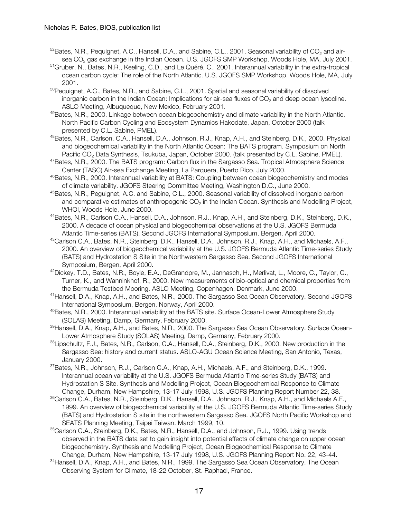- $52B$ ates, N.R., Pequignet, A.C., Hansell, D.A., and Sabine, C.L., 2001. Seasonal variability of CO<sub>2</sub> and airsea CO<sub>2</sub> gas exchange in the Indian Ocean. U.S. JGOFS SMP Workshop. Woods Hole, MA, July 2001.
- 51Gruber, N., Bates, N.R., Keeling, C.D., and Le Quéré, C., 2001. Interannual variability in the extra-tropical ocean carbon cycle: The role of the North Atlantic. U.S. JGOFS SMP Workshop. Woods Hole, MA, July 2001.
- <sup>50</sup>Pequignet, A.C., Bates, N.R., and Sabine, C.L., 2001. Spatial and seasonal variability of dissolved inorganic carbon in the Indian Ocean: Implications for air-sea fluxes of  $CO<sub>2</sub>$  and deep ocean lysocline. ASLO Meeting, Albuqueque, New Mexico, February 2001.
- 49Bates, N.R., 2000. Linkage between ocean biogeochemistry and climate variability in the North Atlantic. North Pacific Carbon Cycling and Ecosystem Dynamics Hakodate, Japan, October 2000 (talk presented by C.L. Sabine, PMEL).
- 48Bates, N.R., Carlson, C.A., Hansell, D.A., Johnson, R.J., Knap, A.H., and Steinberg, D.K., 2000. Physical and biogeochemical variability in the North Atlantic Ocean: The BATS program. Symposium on North Pacific CO<sub>2</sub> Data Synthesis, Tsukuba, Japan, October 2000. (talk presented by C.L. Sabine, PMEL).<br><sup>47</sup>Bates, N.R., 2000. The BATS program: Carbon flux in the Sargasso Sea. Tropical Atmosphere Science
- Center (TASC) Air-sea Exchange Meeting, La Parquera, Puerto Rico, July 2000.
- <sup>46</sup>Bates, N.R., 2000. Interannual variability at BATS: Coupling between ocean biogeochemistry and modes of climate variability. JGOFS Steering Committee Meeting, Washington D.C., June 2000.
- 45Bates, N.R., Peguignet, A.C. and Sabine, C.L., 2000. Seasonal variability of dissolved inorganic carbon and comparative estimates of anthropogenic  $CO<sub>2</sub>$  in the Indian Ocean. Synthesis and Modelling Project, WHOI, Woods Hole, June 2000.
- 44Bates, N.R., Carlson C.A., Hansell, D.A., Johnson, R.J., Knap, A.H., and Steinberg, D.K., Steinberg, D.K., 2000. A decade of ocean physical and biogeochemical observations at the U.S. JGOFS Bermuda Atlantic Time-series (BATS). Second JGOFS International Symposium, Bergen, April 2000.
- <sup>43</sup>Carlson C.A., Bates, N.R., Steinberg, D.K., Hansell, D.A., Johnson, R.J., Knap, A.H., and Michaels, A.F., 2000. An overview of biogeochemical variability at the U.S. JGOFS Bermuda Atlantic Time-series Study (BATS) and Hydrostation S Site in the Northwestern Sargasso Sea. Second JGOFS International Symposium, Bergen, April 2000.
- 42Dickey, T.D., Bates, N.R., Boyle, E.A., DeGrandpre, M., Jannasch, H., Merlivat, L., Moore, C., Taylor, C., Turner, K., and Wanninkhof, R., 2000. New measurements of bio-optical and chemical properties from the Bermuda Testbed Mooring. ASLO Meeting, Copenhagen, Denmark, June 2000.
- 41Hansell, D.A., Knap, A.H., and Bates, N.R., 2000. The Sargasso Sea Ocean Observatory. Second JGOFS International Symposium, Bergen, Norway, April 2000.
- <sup>40</sup>Bates, N.R., 2000. Interannual variability at the BATS site. Surface Ocean-Lower Atmosphere Study
- (SOLAS) Meeting, Damp, Germany, February 2000.<br><sup>39</sup>Hansell, D.A., Knap, A.H., and Bates, N.R., 2000. The Sargasso Sea Ocean Observatory. Surface Ocean-Lower Atmosphere Study (SOLAS) Meeting, Damp, Germany, February 2000.
- 38Lipschultz, F.J., Bates, N.R., Carlson, C.A., Hansell, D.A., Steinberg, D.K., 2000. New production in the Sargasso Sea: history and current status. ASLO-AGU Ocean Science Meeting, San Antonio, Texas, January 2000.
- 37Bates, N.R., Johnson, R.J., Carlson C.A., Knap, A.H., Michaels, A.F., and Steinberg, D.K., 1999. Interannual ocean variability at the U.S. JGOFS Bermuda Atlantic Time-series Study (BATS) and Hydrostation S Site. Synthesis and Modelling Project, Ocean Biogeochemical Response to Climate Change, Durham, New Hampshire, 13-17 July 1998, U.S. JGOFS Planning Report Number 22, 38.
- 36Carlson C.A., Bates, N.R., Steinberg, D.K., Hansell, D.A., Johnson, R.J., Knap, A.H., and Michaels A.F., 1999. An overview of biogeochemical variability at the U.S. JGOFS Bermuda Atlantic Time-series Study (BATS) and Hydrostation S site in the northwestern Sargasso Sea. JGOFS North Pacific Workshop and SEATS Planning Meeting, Taipei Taiwan. March 1999, 10.
- <sup>35</sup>Carlson C.A., Steinberg, D.K., Bates, N.R., Hansell, D.A., and Johnson, R.J., 1999. Using trends observed in the BATS data set to gain insight into potential effects of climate change on upper ocean biogeochemistry. Synthesis and Modelling Project, Ocean Biogeochemical Response to Climate Change, Durham, New Hampshire, 13-17 July 1998, U.S. JGOFS Planning Report No. 22, 43-44.
- <sup>34</sup> Hansell, D.A., Knap, A.H., and Bates, N.R., 1999. The Sargasso Sea Ocean Observatory. The Ocean Observing System for Climate, 18-22 October, St. Raphael, France.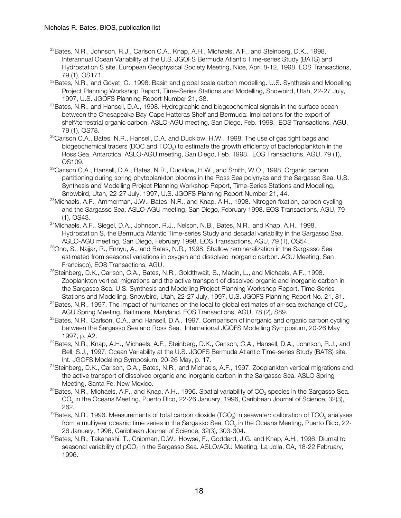- <sup>33</sup>Bates, N.R., Johnson, R.J., Carlson C.A., Knap, A.H., Michaels, A.F., and Steinberg, D.K., 1998. Interannual Ocean Variability at the U.S. JGOFS Bermuda Atlantic Time-series Study (BATS) and Hydrostation S site. European Geophysical Society Meeting, Nice, April 8-12, 1998. EOS Transactions, 79 (1), OS171.
- <sup>32</sup>Bates, N.R., and Govet, C., 1998. Basin and global scale carbon modelling. U.S. Synthesis and Modelling Project Planning Workshop Report, Time-Series Stations and Modelling, Snowbird, Utah, 22-27 July, 1997, U.S. JGOFS Planning Report Number 21, 38.
- <sup>31</sup>Bates, N.R., and Hansell, D.A., 1998. Hydrographic and biogeochemical signals in the surface ocean between the Chesapeake Bay-Cape Hatteras Shelf and Bermuda: Implications for the export of shelf/terrestrial organic carbon. ASLO-AGU meeting, San Diego, Feb. 1998. EOS Transactions, AGU, 79 (1), OS78.
- 30Carlson C.A., Bates, N.R., Hansell, D.A. and Ducklow, H.W., 1998. The use of gas tight bags and biogeochemical tracers (DOC and TCO<sub>2</sub>) to estimate the growth efficiency of bacterioplankton in the Ross Sea, Antarctica. ASLO-AGU meeting, San Diego, Feb. 1998. EOS Transactions, AGU, 79 (1), OS109.
- <sup>29</sup>Carlson C.A., Hansell, D.A., Bates, N.R., Ducklow, H.W., and Smith, W.O., 1998. Organic carbon partitioning during spring phytoplankton blooms in the Ross Sea polynyas and the Sargasso Sea. U.S. Synthesis and Modelling Project Planning Workshop Report, Time-Series Stations and Modelling, Snowbird, Utah, 22-27 July, 1997, U.S. JGOFS Planning Report Number 21, 44.
- <sup>28</sup>Michaels, A.F., Ammerman, J.W., Bates, N.R., and Knap, A.H., 1998. Nitrogen fixation, carbon cycling and the Sargasso Sea. ASLO-AGU meeting, San Diego, February 1998. EOS Transactions, AGU, 79 (1), OS43.
- $^{27}$ Michaels, A.F., Siegel, D.A., Johnson, R.J., Nelson, N.B., Bates, N.R., and Knap, A.H., 1998. Hydrostation S, the Bermuda Atlantic Time-series Study and decadal variability in the Sargasso Sea. ASLO-AGU meeting, San Diego, February 1998. EOS Transactions, AGU, 79 (1), OS54.
- <sup>26</sup>Ono, S., Najjar, R., Ennyu, A., and Bates, N.R., 1998. Shallow remineralization in the Sargasso Sea estimated from seasonal variations in oxygen and dissolved inorganic carbon. AGU Meeting, San Francisco), EOS Transactions, AGU.
- <sup>25</sup>Steinberg, D.K., Carlson, C.A., Bates, N.R., Goldthwait, S., Madin, L., and Michaels, A.F., 1998. Zooplankton vertical migrations and the active transport of dissolved organic and inorganic carbon in the Sargasso Sea. U.S. Synthesis and Modelling Project Planning Workshop Report, Time-Series Stations and Modelling, Snowbird, Utah, 22-27 July, 1997, U.S. JGOFS Planning Report No. 21, 81.
- $24$ Bates, N.R., 1997. The impact of hurricanes on the local to global estimates of air-sea exchange of CO<sub>2</sub>. AGU Spring Meeting, Baltimore, Maryland. EOS Transactions, AGU, 78 (2), S89.
- <sup>23</sup>Bates, N.R., Carlson, C.A., and Hansell, D.A., 1997. Comparison of inorganic and organic carbon cycling between the Sargasso Sea and Ross Sea. International JGOFS Modelling Symposium, 20-26 May 1997, p. A2.
- <sup>22</sup>Bates, N.R., Knap, A.H., Michaels, A.F., Steinberg, D.K., Carlson, C.A., Hansell, D.A., Johnson, R.J., and Bell, S.J., 1997. Ocean Variability at the U.S. JGOFS Bermuda Atlantic Time-series Study (BATS) site. Int. JGOFS Modelling Symposium, 20-26 May, p. 17.<br><sup>21</sup>Steinberg, D.K., Carlson, C.A., Bates, N.R., and Michaels, A.F., 1997. Zooplankton vertical migrations and
- the active transport of dissolved organic and inorganic carbon in the Sargasso Sea. ASLO Spring Meeting, Santa Fe, New Mexico.
- <sup>20</sup>Bates, N.R., Michaels, A.F., and Knap, A.H., 1996. Spatial variability of  $CO<sub>2</sub>$  species in the Sargasso Sea. CO<sub>2</sub> in the Oceans Meeting, Puerto Rico, 22-26 January, 1996, Caribbean Journal of Science, 32(3), 262.
- <sup>19</sup>Bates, N.R., 1996. Measurements of total carbon dioxide (TCO<sub>2</sub>) in seawater: calibration of TCO<sub>2</sub> analyses from a multiyear oceanic time series in the Sargasso Sea. CO<sub>2</sub> in the Oceans Meeting, Puerto Rico, 22-26 January, 1996, Caribbean Journal of Science, 32(3), 303-304.
- <sup>18</sup>Bates, N.R., Takahashi, T., Chipman, D.W., Howse, F., Goddard, J.G. and Knap, A.H., 1996. Diurnal to seasonal variability of pCO<sub>2</sub> in the Sargasso Sea. ASLO/AGU Meeting, La Jolla, CA, 18-22 February, 1996.